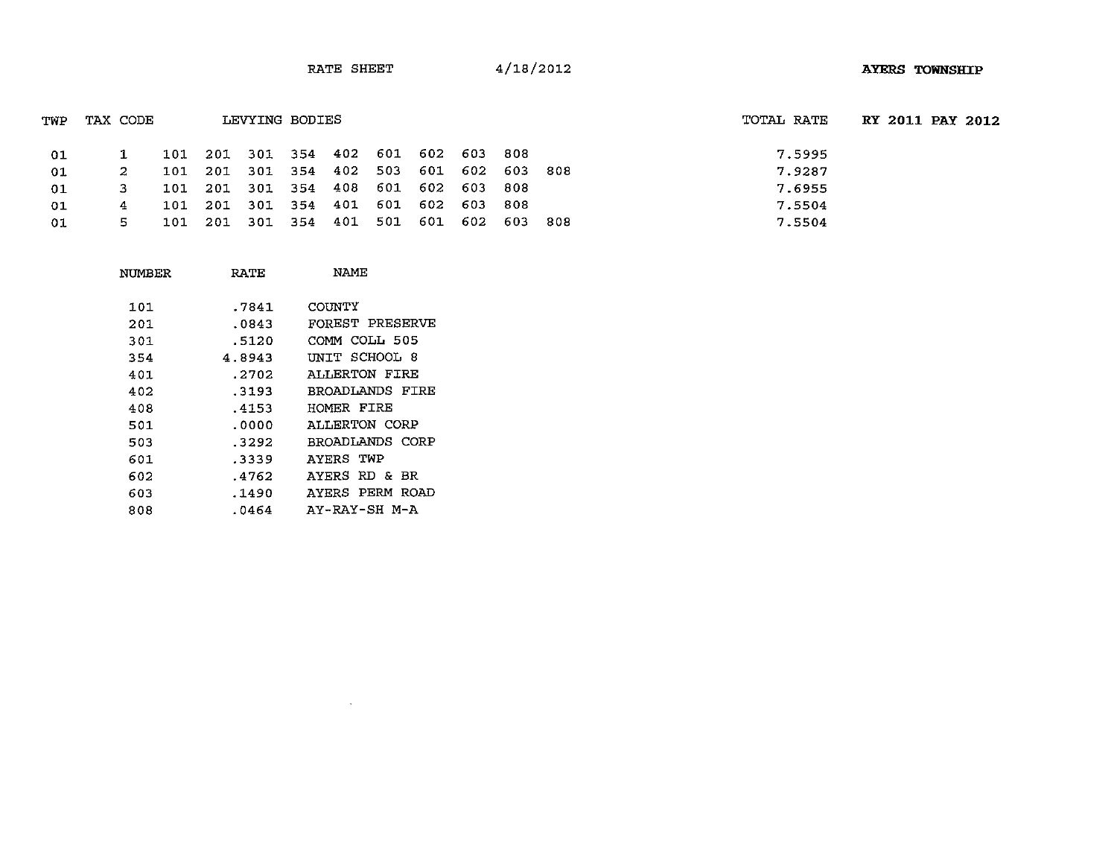| TWP | TAX CODE |                                         | LEVYING BODIES |  |  |       | TOTAL RATE | <b>RY 2011 PAY 2012</b> |  |
|-----|----------|-----------------------------------------|----------------|--|--|-------|------------|-------------------------|--|
| -01 |          | 101 201 301 354 402 601 602 603         |                |  |  | 808   | 7.5995     |                         |  |
| -01 | 2        | 101 201 301 354 402 503 601 602 603 808 |                |  |  |       | 7.9287     |                         |  |
| -01 | 3.       | 101 201 301 354 408 601 602 603         |                |  |  | - 808 | 7.6955     |                         |  |
| -01 | 4        | 101 201 301 354 401 601 602 603 808     |                |  |  |       | 7.5504     |                         |  |
| -01 | 5.       | 101 201 301 354 401 501 601 602 603 808 |                |  |  |       | 7.5504     |                         |  |
|     |          |                                         |                |  |  |       |            |                         |  |

| NUMBER | RATE   | NAME            |
|--------|--------|-----------------|
| 101    | .7841  | COUNTY          |
| 201    | .0843  | FOREST PRESERVE |
| 301    | .5120  | COMM COLL 505   |
| 354    | 4.8943 | UNIT SCHOOL 8   |
| 401    | .2702  | ALL ERTON FIRE  |
| 402    | .3193  | BROADLANDS FIRE |
| 408    | .4153  | HOMER FIRE      |
| 501    | .0000  | ALLERTON CORP   |
| 503    | .3292  | BROADLANDS CORP |
| 601    | .3339  | AYERS TWP       |
| 602    | .4762  | AYERS RD & BR   |
| 603    | .1490  | AYERS PERM ROAD |
| 808    | .0464  | AY-RAY-SH M-A   |

 $\mathcal{L}(\mathcal{L})$  and  $\mathcal{L}(\mathcal{L})$  and  $\mathcal{L}(\mathcal{L})$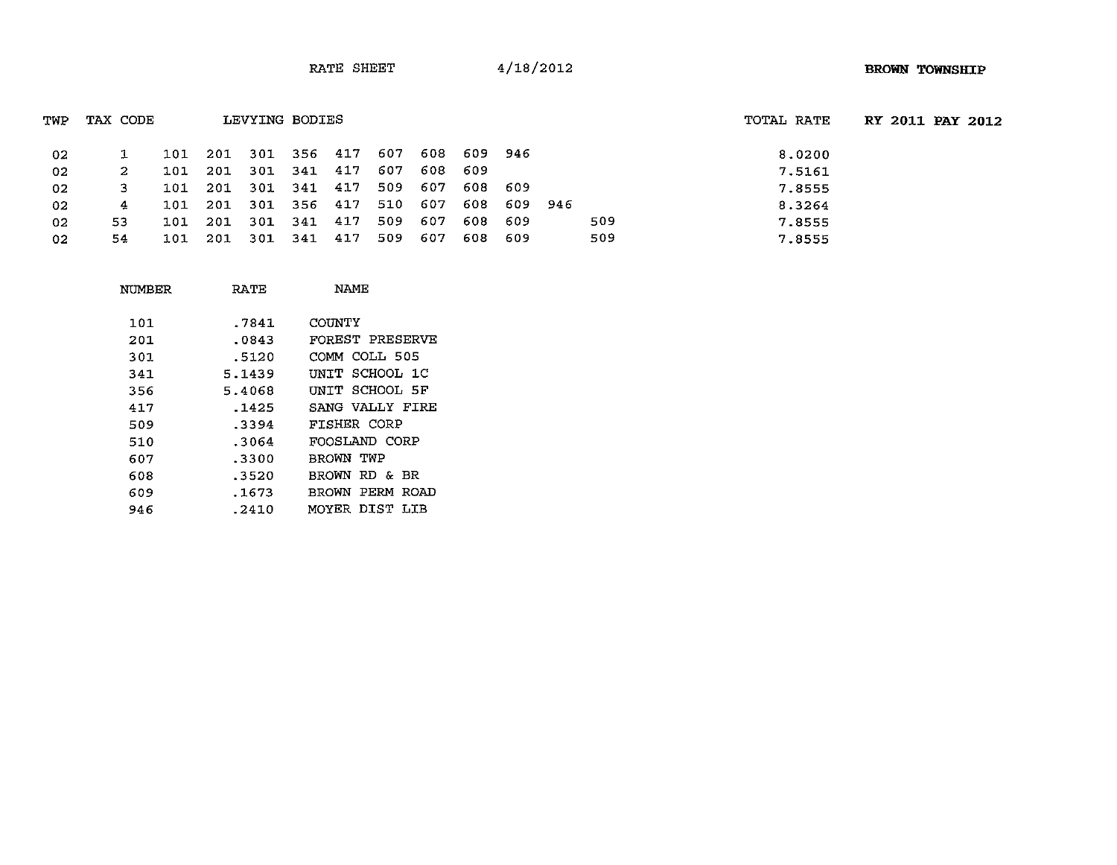| TWP | TAX CODE |     |                     |     | LEVYING BODIES  |     |         |     |         |         |     | TOTAL RATE |  | RY 2011 PAY 2012 |
|-----|----------|-----|---------------------|-----|-----------------|-----|---------|-----|---------|---------|-----|------------|--|------------------|
| 02  |          |     | 101 201 301 356 417 |     |                 |     | - 607   | 608 | 609 946 |         |     | 8.0200     |  |                  |
| 02  | 2        | 101 | -201                |     | 301 341 417     |     | 607     | 608 | -609    |         |     | 7.5161     |  |                  |
| 02  | з.       | 101 |                     |     | 201 301 341 417 |     | 509     | 607 | 608     | -609    |     | 7.8555     |  |                  |
| 02  | 4        | 101 | 201                 |     | 301 356 417     |     | 510 607 |     | 608     | 609 946 |     | 8.3264     |  |                  |
| 02  | 53.      | 101 | 201                 |     | 301 341 417     |     | 509     | 607 | 608     | -609    | 509 | 7.8555     |  |                  |
| 02  | 54       | 101 | 201                 | 301 | 341             | 417 | 509     | 607 | 608     | -609    | 509 | 7.8555     |  |                  |

| NUMBER | RATE   | NAMF               |
|--------|--------|--------------------|
| 101    | .7841  | COUNTY             |
| 201    | .0843  | FOREST PRESERVE    |
| 301    | .5120  | COMM COLL 505      |
| 341    | 5.1439 | UNIT SCHOOL 1C     |
| 356    | 5.4068 | UNTT SCHOOL 5F     |
| 417    | .1425  | SANG VALLY FIRE    |
| 509    | .3394  | <b>FISHER CORP</b> |
| 510    | .3064  | FOOSLAND CORP      |
| 607    | .3300  | BROWN TWP          |
| 608    | .3520  | BROWN RD & BR      |
| 609    | .1673  | BROWN PERM ROAD    |
| 946    | .2410  | MOYER DIST LIB     |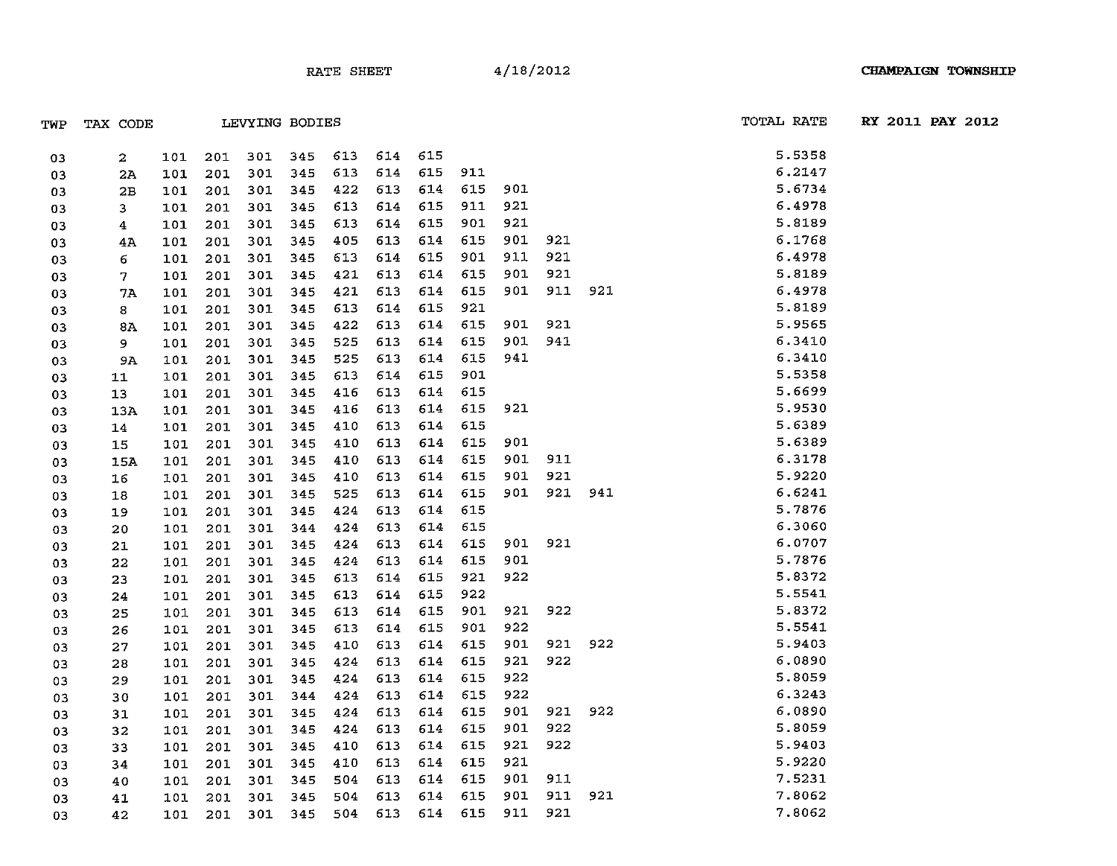| TWP | TAX CODE         |     |     |     | LEVYING BODIES |     |     |     |     |     |         | TOTAL RATE | RY 2011 PAY 2012 |  |
|-----|------------------|-----|-----|-----|----------------|-----|-----|-----|-----|-----|---------|------------|------------------|--|
| 03  | $\boldsymbol{2}$ | 101 | 201 | 301 | - 345          | 613 | 614 | 615 |     |     |         | 5.5358     |                  |  |
| 03  | 2Ά               | 101 | 201 | 301 | 345            | 613 | 614 | 615 | 911 |     |         | 6.2147     |                  |  |
| 03  | 2B               | 101 | 201 | 301 | 345            | 422 | 613 | 614 | 615 | 901 |         | 5.6734     |                  |  |
| 03  | 3                | 101 | 201 | 301 | 345            | 613 | 614 | 615 | 911 | 921 |         | 6.4978     |                  |  |
| 03  | 4                | 101 | 201 | 301 | 345            | 613 | 614 | 615 | 901 | 921 |         | 5.8189     |                  |  |
| 03  | 4Α               | 101 | 201 | 301 | 345            | 405 | 613 | 614 | 615 | 901 |         | 6.1768     |                  |  |
| 03  | 6                | 101 | 201 | 301 | 345            | 613 | 614 | 615 | 901 | 911 |         | 6.4978     |                  |  |
| 03  | 7.               | 101 | 201 | 301 | 345            | 421 | 613 | 614 | 615 | 901 |         | 5.8189     |                  |  |
| 03  | 7A               | 101 | 201 | 301 | 345            | 421 | 613 | 614 | 615 | 901 |         | 6.4978     |                  |  |
| 03  | 8                | 101 | 201 | 301 | 345            | 613 | 614 | 615 | 921 |     |         | 5.8189     |                  |  |
| 03  | 8A               | 101 | 201 | 301 | 345            | 422 | 613 | 614 | 615 | 901 |         | 5.9565     |                  |  |
| 03  | 9.               | 101 | 201 | 301 | 345            | 525 | 613 | 614 | 615 | 901 |         | 6.3410     |                  |  |
| 03  | <b>9A</b>        | 101 | 201 | 301 | 345            | 525 | 613 | 614 | 615 | 941 |         | 6.3410     |                  |  |
| 03  | 11               | 101 | 201 | 301 | 345            | 613 | 614 | 615 | 901 |     |         | 5.5358     |                  |  |
| 03  | 13 <sub>1</sub>  | 101 | 201 | 301 | 345            | 416 | 613 | 614 | 615 |     |         | 5.6699     |                  |  |
| 03  | 13A              | 101 | 201 | 301 | 345            | 416 | 613 | 614 | 615 | 921 |         | 5.9530     |                  |  |
| 03  | 14               | 101 | 201 | 301 | 345            | 410 | 613 | 614 | 615 |     |         | 5.6389     |                  |  |
| 03  | 15               | 101 | 201 | 301 | 345            | 410 | 613 | 614 | 615 | 901 |         | 5.6389     |                  |  |
| 03  | <b>15A</b>       | 101 | 201 | 301 | 345            | 410 | 613 | 614 | 615 | 901 |         | 6.3178     |                  |  |
| 03  | 16               | 101 | 201 | 301 | 345            | 410 | 613 | 614 | 615 | 901 |         | 5.9220     |                  |  |
| 03  | 18               | 101 | 201 | 301 | 345            | 525 | 613 | 614 | 615 | 901 |         | 6.6241     |                  |  |
| 03  | 19               | 101 | 201 | 301 | 345            | 424 | 613 | 614 | 615 |     |         | 5.7876     |                  |  |
| 03  | 20               | 101 | 201 | 301 | 344            | 424 | 613 | 614 | 615 |     |         | 6.3060     |                  |  |
| 03  | 21               | 101 | 201 | 301 | 345            | 424 | 613 | 614 | 615 |     | 901 921 | 6.0707     |                  |  |
| 03  | 22               | 101 | 201 | 301 | 345            | 424 | 613 | 614 | 615 | 901 |         | 5.7876     |                  |  |
| 03  | 23               | 101 | 201 | 301 | 345            | 613 | 614 | 615 | 921 | 922 |         | 5.8372     |                  |  |
| 03  | 24               | 101 | 201 | 301 | 345            | 613 | 614 | 615 | 922 |     |         | 5.5541     |                  |  |
| 03  | 25               | 101 | 201 | 301 | 345            | 613 | 614 | 615 | 901 | 921 |         | 5.8372     |                  |  |
| 03  | 26               | 101 | 201 | 301 | 345            | 613 | 614 | 615 | 901 | 922 |         | 5.5541     |                  |  |
| 03  | 27               | 101 | 201 | 301 | 345            | 410 | 613 | 614 | 615 | 901 |         | 5.9403     |                  |  |
| 03  | 28               | 101 | 201 | 301 | 345            | 424 | 613 | 614 | 615 | 921 |         | 6.0890     |                  |  |
| 03  | 29               | 101 | 201 | 301 | 345            | 424 | 613 | 614 | 615 | 922 |         | 5.8059     |                  |  |
| 03  | 30               | 101 | 201 | 301 | 344            | 424 | 613 | 614 | 615 | 922 |         | 6.3243     |                  |  |
| 03  | 31               | 101 | 201 | 301 | 345            | 424 | 613 | 614 | 615 | 901 |         | 6.0890     |                  |  |
| 03  | 32               | 101 | 201 | 301 | 345            | 424 | 613 | 614 | 615 | 901 |         | 5.8059     |                  |  |
| 03  | 33               | 101 | 201 | 301 | 345            | 410 | 613 | 614 | 615 | 921 |         | 5.9403     |                  |  |
| 03  | 34               | 101 | 201 | 301 | 345            | 410 | 613 | 614 | 615 | 921 |         | 5.9220     |                  |  |
| 03  | 40               | 101 | 201 | 301 | 345            | 504 | 613 | 614 | 615 | 901 |         | 7.5231     |                  |  |
| 03  | 41               | 101 | 201 | 301 | 345            | 504 | 613 | 614 | 615 | 901 |         | 7.8062     |                  |  |
| 03  | 42               | 101 | 201 | 301 | 345            | 504 | 613 | 614 | 615 | 911 |         | 7.8062     |                  |  |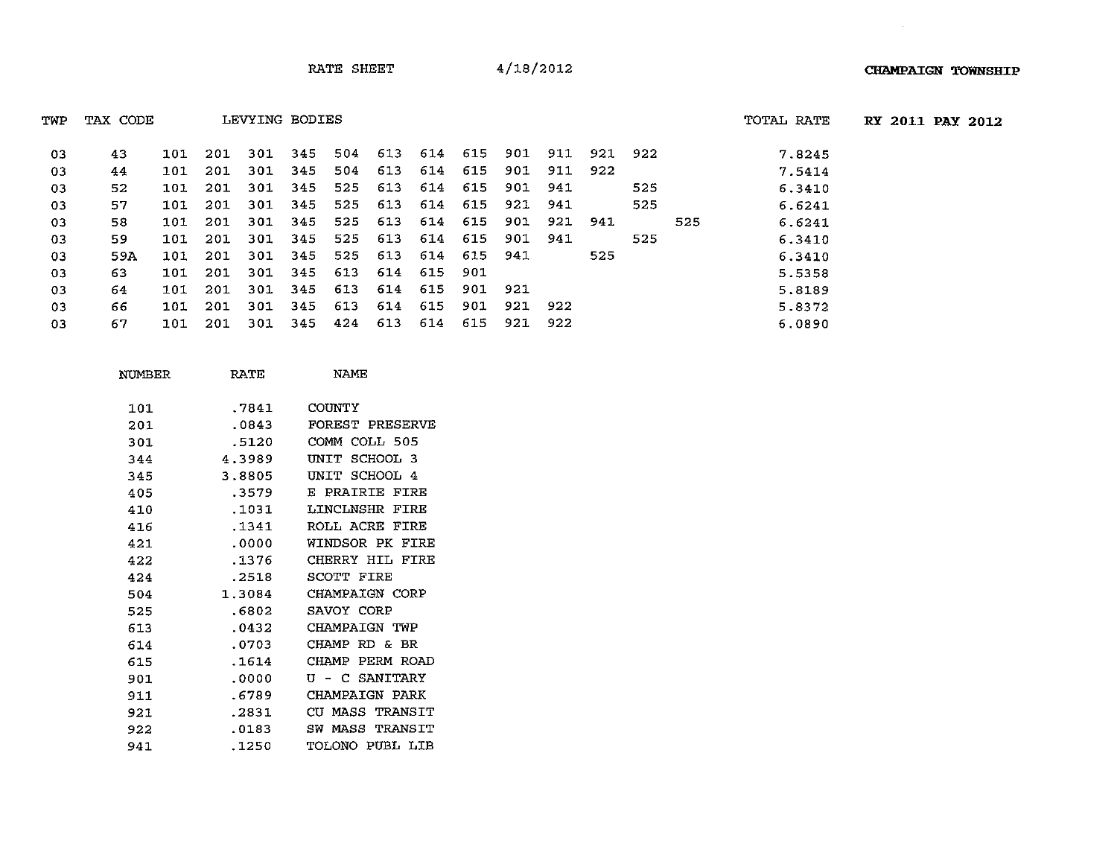| TWP | TAX CODE |     |     |     | LEVYING BODIES |     |         |     |     |      |     |         |     |     | TOTAL RATE | <b>RY 2011 PAY 2012</b> |  |
|-----|----------|-----|-----|-----|----------------|-----|---------|-----|-----|------|-----|---------|-----|-----|------------|-------------------------|--|
| 03  | 43       | 101 | 201 | 301 | -345           | 504 | 613 614 |     | 615 | 901  | 911 | 921 922 |     |     | 7.8245     |                         |  |
| 03  | 44       | 101 | 201 | 301 | 345            | 504 | 613     | 614 | 615 | 901  | 911 | 922     |     |     | 7.5414     |                         |  |
| 03  | 52       | 101 | 201 | 301 | 345            | 525 | 613     | 614 | 615 | 901  | 941 |         | 525 |     | 6.3410     |                         |  |
| 03  | 57       | 101 | 201 | 301 | 345            | 525 | 613     | 614 | 615 | 921  | 941 |         | 525 |     | 6.6241     |                         |  |
| 03  | 58       | 101 | 201 | 301 | -345           | 525 | 613     | 614 | 615 | 901  | 921 | 941     |     | 525 | 6.6241     |                         |  |
| 03  | 59.      | 101 | 201 | 301 | 345            | 525 | 613     | 614 | 615 | 901  | 941 |         | 525 |     | 6.3410     |                         |  |
| 03  | 59A      | 101 | 201 | 301 | 345            | 525 | 613     | 614 | 615 | 941  |     | 525     |     |     | 6.3410     |                         |  |
| 03  | 63       | 101 | 201 | 301 | 345            | 613 | 614     | 615 | 901 |      |     |         |     |     | 5.5358     |                         |  |
| 03  | 64.      | 101 | 201 | 301 | 345            | 613 | 614     | 615 | 901 | -921 |     |         |     |     | 5,8189     |                         |  |
| 03  | 66.      | 101 | 201 | 301 | 345            | 613 | 614     | 615 | 901 | 921  | 922 |         |     |     | 5.8372     |                         |  |
| 03  | 67       | 101 | 201 | 301 | 345            | 424 | 613     | 614 | 615 | 921  | 922 |         |     |     | 6,0890     |                         |  |

| 101 | .7841  | COUNTY                      |
|-----|--------|-----------------------------|
| 201 | .0843  | FOREST PRESERVE             |
| 301 | .5120  | COMM COLL 505               |
| 344 | 4.3989 | SCHOOL 3<br>UNIT            |
| 345 | 3.8805 | UNIT SCHOOL 4               |
| 405 | 3579   | E PRAIRIE FIRE              |
| 410 | .1031  | LINCLNSHR FIRE              |
| 416 | .1341  | ROLL ACRE FIRE              |
| 421 | .0000  | WINDSOR PK FIRE             |
| 422 | .1376  | CHERRY HIL FIRE             |
| 424 | .2518  | <b>SCOTT FIRE</b>           |
| 504 | 1.3084 | CHAMPAIGN CORP              |
| 525 | .6802  | SAVOY CORP                  |
| 613 | .0432  | CHAMPAIGN TWP               |
| 614 | .0703  | CHAMP RD & BR               |
| 615 | .1614  | PERM ROAD<br>CHAMP.         |
| 901 | .0000  | U - C SANITARY              |
| 911 | .6789  | CHAMPAIGN PARK              |
| 921 | .2831  | <b>MASS TRANSIT</b><br>CU - |
| 922 | .0183  | SW MASS TRANSIT             |
| 941 | .1250  | TOLONO PUBL LIB             |

NUMBER RATE NAME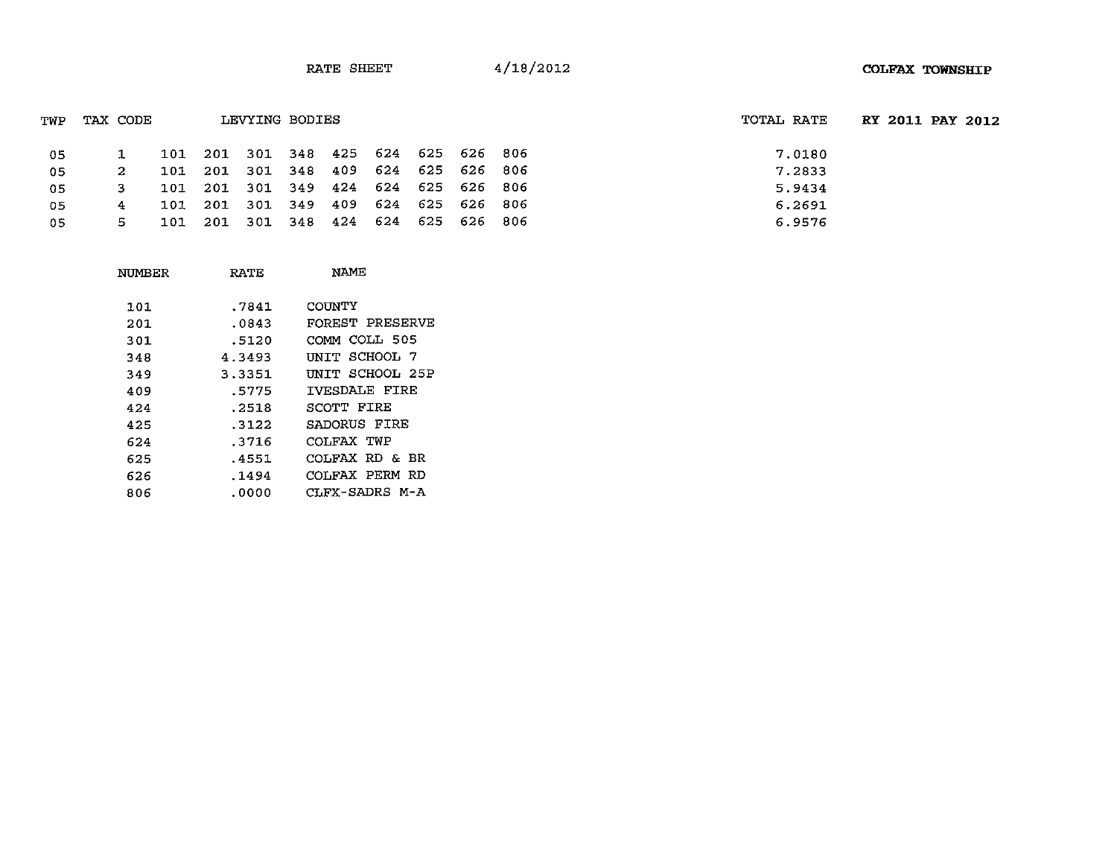| TWP | TAX CODE |     | LEVYING BODIES  |                                 |                 |  | TOTAL RATE | RY 2011 PAY 2012 |  |
|-----|----------|-----|-----------------|---------------------------------|-----------------|--|------------|------------------|--|
| -05 |          | 101 |                 | 201 301 348 425 624 625 626 806 |                 |  | 7.0180     |                  |  |
| 05  |          | 101 | 201 301 348 409 |                                 | 624 625 626 806 |  | 7.2833     |                  |  |
| 05  |          | 101 |                 | 201 301 349 424 624 625 626 806 |                 |  | 5.9434     |                  |  |
| 05  | 4        | 101 | 201 301 349 409 |                                 | 624 625 626 806 |  | 6.2691     |                  |  |
| 05  | 5.       | 101 |                 | 201 301 348 424 624 625 626 806 |                 |  | 6.9576     |                  |  |

| NUMBER | RATE   | NAME            |
|--------|--------|-----------------|
| 101    | .7841  | COUNTY          |
| 201    | .0843  | FOREST PRESERVE |
| 301    | .5120  | COMM COLL 505   |
| 348    | 4.3493 | UNIT SCHOOL 7   |
| 349    | 3.3351 | UNIT SCHOOL 25P |
| 409    | .5775  | IVESDALE FIRE   |
| 424    | .2518  | SCOTT FIRE      |
| 425    | .3122  | SADORUS FIRE    |
| 624    | .3716  | COLFAX TWP      |
| 625    | .4551  | COLFAX RD & BR  |
| 626    | .1494  | COLFAX PERM RD  |
| 806    | .0000  | CLFX-SADRS M-A  |
|        |        |                 |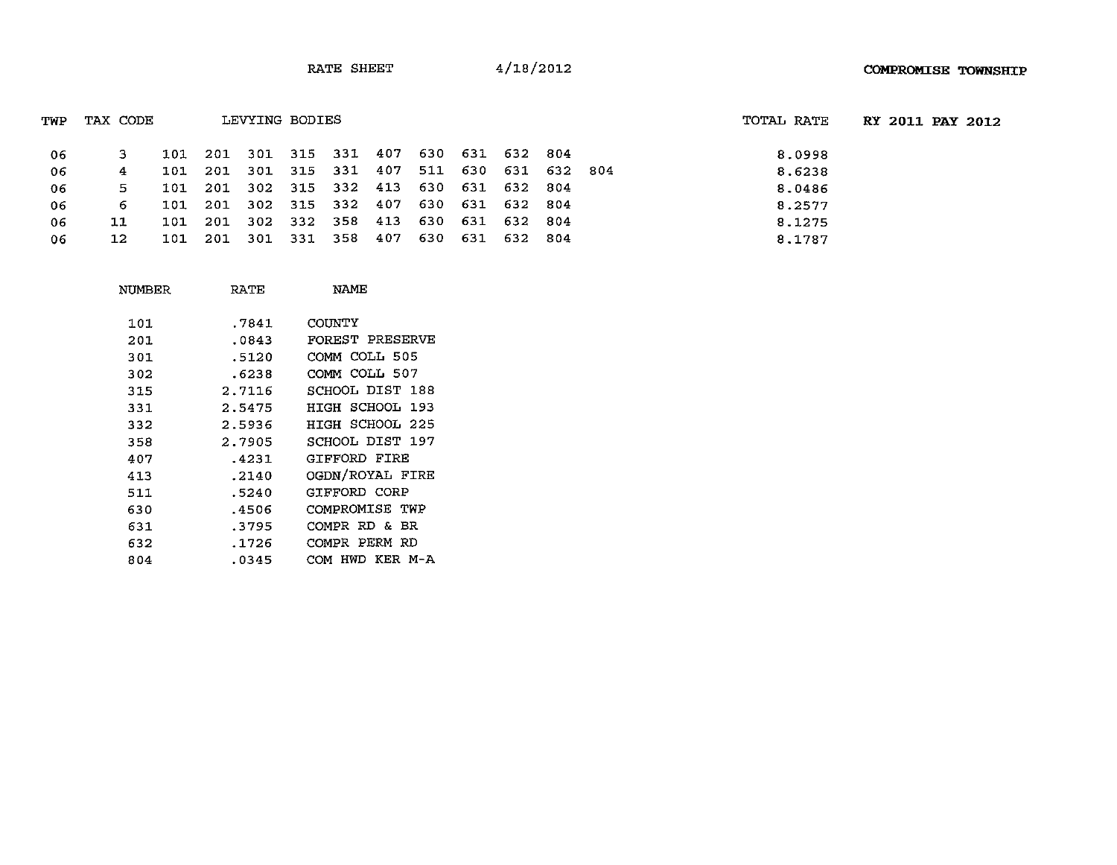| TWP | TAX CODE |     |       | LEVYING BODIES |                                         |  |                 |  | TOTAL RATE |  | RY 2011 PAY 2012 |
|-----|----------|-----|-------|----------------|-----------------------------------------|--|-----------------|--|------------|--|------------------|
| -06 |          | 101 |       |                | 201 301 315 331 407 630 631 632 804     |  |                 |  | 8.0998     |  |                  |
| -06 | 4        | 101 | - 201 |                | 301 315 331 407 511 630 631 632 804     |  |                 |  | 8.6238     |  |                  |
| -06 | 5.       | 101 |       |                | 201 302 315 332 413 630 631 632 804     |  |                 |  | 8.0486     |  |                  |
| -06 | 6.       |     |       |                | 101 201 302 315 332 407 630 631 632 804 |  |                 |  | 8.2577     |  |                  |
| 06  | 11       | 101 | -201  |                | 302 332 358 413 630 631 632 804         |  |                 |  | 8.1275     |  |                  |
| 06  | 12       | 101 |       |                | 201 301 331 358 407                     |  | 630 631 632 804 |  | 8.1787     |  |                  |

| NUMBER | RATE   | NAME            |
|--------|--------|-----------------|
| 101    | .7841  | COUNTY          |
| 201    | .0843  | FOREST PRESERVE |
| 301    | .5120  | COMM COLL 505   |
| 302    | .6238  | COMM COLL 507   |
| 315    | 2.7116 | SCHOOL DIST 188 |
| 331    | 2.5475 | HIGH SCHOOL 193 |
| 332    | 2.5936 | HIGH SCHOOL 225 |
| 358    | 2.7905 | SCHOOL DIST 197 |
| 407    | .4231  | GIFFORD FIRE    |
| 413    | .2140  | OGDN/ROYAL FIRE |
| 511    | .5240  | GIFFORD CORP    |
| 630    | .4506  | COMPROMISE TWP  |
| 631    | .3795  | COMPR RD & BR   |
| 632    | .1726  | COMPR PERM RD   |
| 804    | .0345  | COM HWD KER M-A |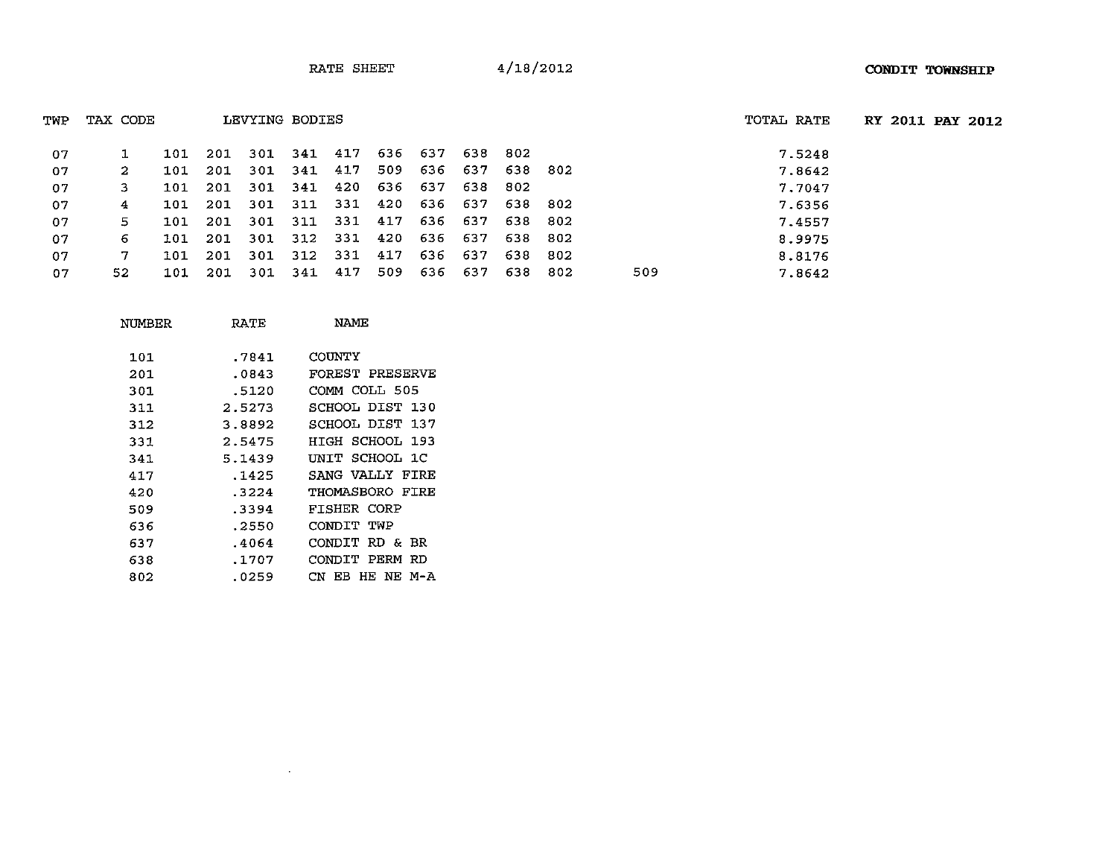| TWP | TAX CODE | LEVYING BODIES |      |     |     |                     |     |     |         | TOTAL RATE | <b>RY 2011 PAY</b> |     |        |  |
|-----|----------|----------------|------|-----|-----|---------------------|-----|-----|---------|------------|--------------------|-----|--------|--|
| 07  |          | 101            | 201  | 301 |     | 341 417             | 636 | 637 | 638     | -802       |                    |     | 7.5248 |  |
| 07  | 2.       | 101            | -201 | 301 |     | 341 417             | 509 | 636 | 637     | 638        | -802               |     | 7.8642 |  |
| 07  | 3.       | 101 -          | 201  |     |     | 301 341 420 636 637 |     |     | 638 802 |            |                    |     | 7.7047 |  |
| 07  | 4        | 101            | 201  | 301 | 311 | 331 420             |     | 636 | 637     | 638        | -802               |     | 7.6356 |  |
| 07  | 5.       | 101            | 201  | 301 |     | 311 331 417         |     | 636 | 637     | 638        | 802                |     | 7.4557 |  |
| 07  | 6.       | 101.           | -201 | 301 |     | 312 331 420         |     | 636 | 637     | 638        | 802                |     | 8.9975 |  |
| 07  | 7.       | 101            | -201 | 301 |     | 312 331 417         |     | 636 | 637     | -638       | 802                |     | 8.8176 |  |
| 07  | 52       | 101            | 201  | 301 | 341 | 417                 | 509 | 636 | 637     | 638        | -802               | 509 | 7.8642 |  |

| NUMBER | RATE   | NAME                     |
|--------|--------|--------------------------|
| 101    | .7841  | COUNTY                   |
| 201    | .0843  | FOREST PRESERVE          |
| 301    | .5120  | COMM COLL 505            |
| 311    | 2.5273 | SCHOOL DIST 130          |
| 312    | 3.8892 | SCHOOL DIST 137          |
| 331    | 2.5475 | HIGH SCHOOL 193          |
| 341    | 5.1439 | UNIT SCHOOL 1C           |
| 417    | .1425  | SANG VALLY FIRE          |
| 420    | .3224  | THOMASBORO FIRE          |
| 509    | .3394  | FISHER CORP              |
| 636    | .2550  | CONDIT TWP               |
| 637    | .4064  | CONDIT RD & BR           |
| 638    | .1707  | CONDIT PERM RD           |
| 802    | .0259  | CN<br>HE NE<br>м-а<br>EB |
|        |        |                          |

 $\mathcal{L}^{\mathcal{L}}(\mathcal{L}^{\mathcal{L}}(\mathcal{L}^{\mathcal{L}}(\mathcal{L}^{\mathcal{L}}(\mathcal{L}^{\mathcal{L}})))$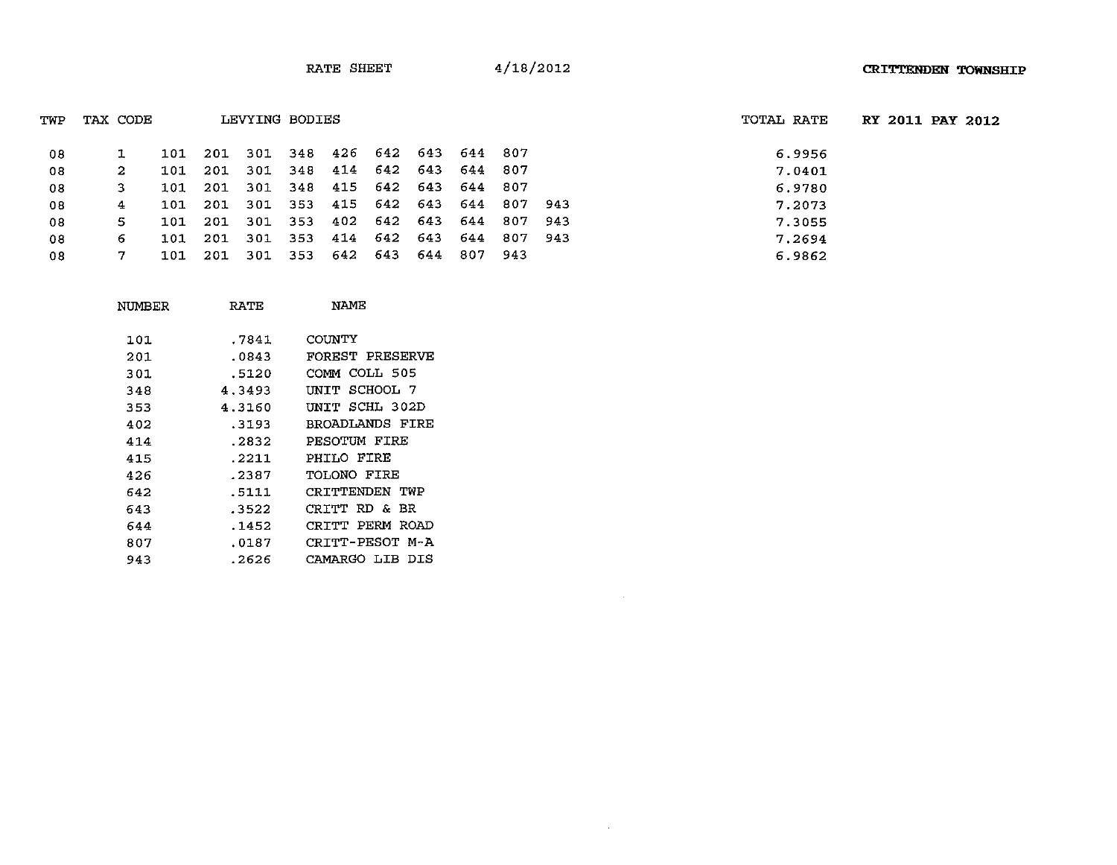| TAX CODE<br>LEVYING BODIES<br>TWP |    |     |         |                             |                             |     | TOTAL RATE | <b>RY 2011 PAY</b> |        |  |
|-----------------------------------|----|-----|---------|-----------------------------|-----------------------------|-----|------------|--------------------|--------|--|
| 08                                |    | 101 | 201     |                             | 301 348 426 642 643         |     | 644 807    |                    | 6.9956 |  |
| 08                                | -2 | 101 | 201     |                             | 301 348 414 642 643 644 807 |     |            |                    | 7.0401 |  |
| 08                                | 3  |     | 101 201 |                             | 301 348 415 642 643 644 807 |     |            |                    | 6.9780 |  |
| 08                                | 4  |     |         | 101 201 301 353 415 642 643 |                             |     | 644 807    | 943                | 7.2073 |  |
| 08                                | 5. |     | 101 201 |                             | 301 353 402 642 643         |     | 644 807    | -943               | 7.3055 |  |
| 08                                | 6  |     | 101 201 |                             | 301 353 414 642 643         |     | 644 807    | - 943              | 7.2694 |  |
| 08                                |    | 101 | 201     |                             | 301 353 642 643             | 644 | 807 943    |                    | 6.9862 |  |

 $\mathcal{L}^{\text{max}}_{\text{max}}$ 

| NUMBER | RATE   | NAME            |
|--------|--------|-----------------|
| 101    | .7841  | COUNTY          |
| 201    | .0843  | FOREST PRESERVE |
| 301    | .5120  | COMM COLL 505   |
| 348    | 4.3493 | UNIT SCHOOL 7   |
| 353    | 4.3160 | UNIT SCHL 302D  |
| 402    | .3193  | BROADLANDS FIRE |
| 414    | .2832  | PESOTUM FIRE    |
| 415    | .2211  | PHILO FIRE      |
| 426    | .2387  | TOLONO FIRE     |
| 642    | .5111  | CRITTENDEN TWP  |
| 643    | .3522  | CRITT RD & BR   |
| 644    | .1452  | CRITT PERM ROAD |
| 807    | .0187  | CRITT-PESOT M-A |
| 943    | .2626  | CAMARGO LIB DIS |
|        |        |                 |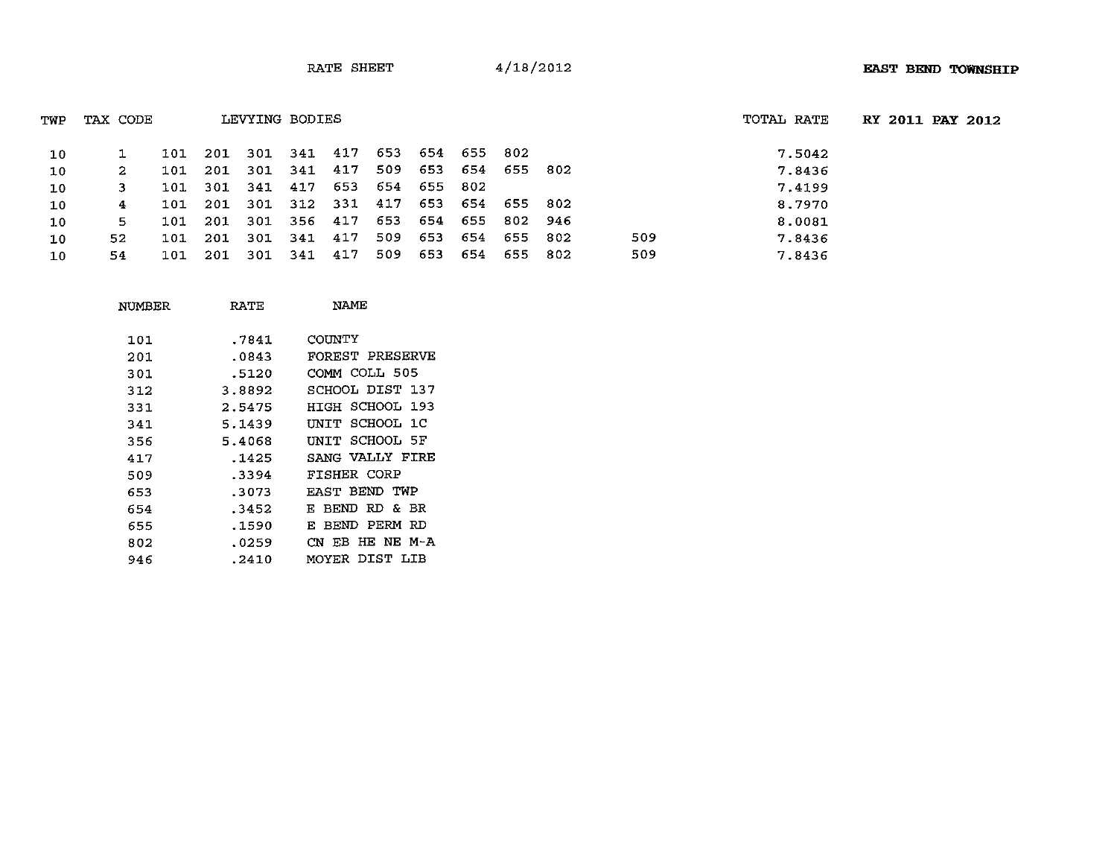| TWP | TAX CODE |     |         | LEVYING BODIES |                                         |             |                     | TOTAL RATE | <b>RY 2011 PAY 2012</b> |  |     |        |  |  |
|-----|----------|-----|---------|----------------|-----------------------------------------|-------------|---------------------|------------|-------------------------|--|-----|--------|--|--|
| 10  |          | 101 | -201    | 301 341 417    |                                         |             | 653 654 655 802     |            |                         |  |     | 7.5042 |  |  |
| 10  | 2        | 101 | -201    | 301 341 417    |                                         |             | 509 653 654 655 802 |            |                         |  |     | 7.8436 |  |  |
| 10  | 3        |     | 101 301 | 341 417 653    |                                         |             | 654 655 802         |            |                         |  |     | 7.4199 |  |  |
| 10  | 4        |     |         |                | 101 201 301 312 331 417 653 654 655 802 |             |                     |            |                         |  |     | 8.7970 |  |  |
| 10  | 5        | 101 | -201    | 301 356 417    |                                         | 653 654 655 |                     |            | 802 946                 |  |     | 8.0081 |  |  |
| 10  | 52.      | 101 | -201    | 301 341 417    |                                         | 509         | 653                 | 654        | 655 802                 |  | 509 | 7.8436 |  |  |
| 10  | 54.      | 101 | 201     | 301 341 417    |                                         | 509         | 653                 | 654        | 655 802                 |  | 509 | 7.8436 |  |  |

| NUMBER | RATE   | NAME               |
|--------|--------|--------------------|
| 101    | .7841  | COUNTY             |
| 201    | .0843  | FOREST PRESERVE    |
| 301    | .5120  | COMM COLL 505      |
| 312    | 3.8892 | SCHOOL DIST 137    |
| 331    | 2.5475 | HIGH SCHOOL 193    |
| 341    | 5.1439 | UNIT SCHOOL 1C     |
| 356    | 5.4068 | INIT SCHOOL 5F     |
| 417    | .1425  | SANG VALLY FIRE    |
| 509    | .3394  | FISHER CORP        |
| 653    | .3073  | EAST BEND TWP      |
| 654    | .3452  | E BEND RD & BR     |
| 655    | .1590  | BEND PERM RD<br>F. |
| 802    | .0259  | CN EB HE NE M-A    |
| 946    | .2410  | MOYER DIST LIB     |
|        |        |                    |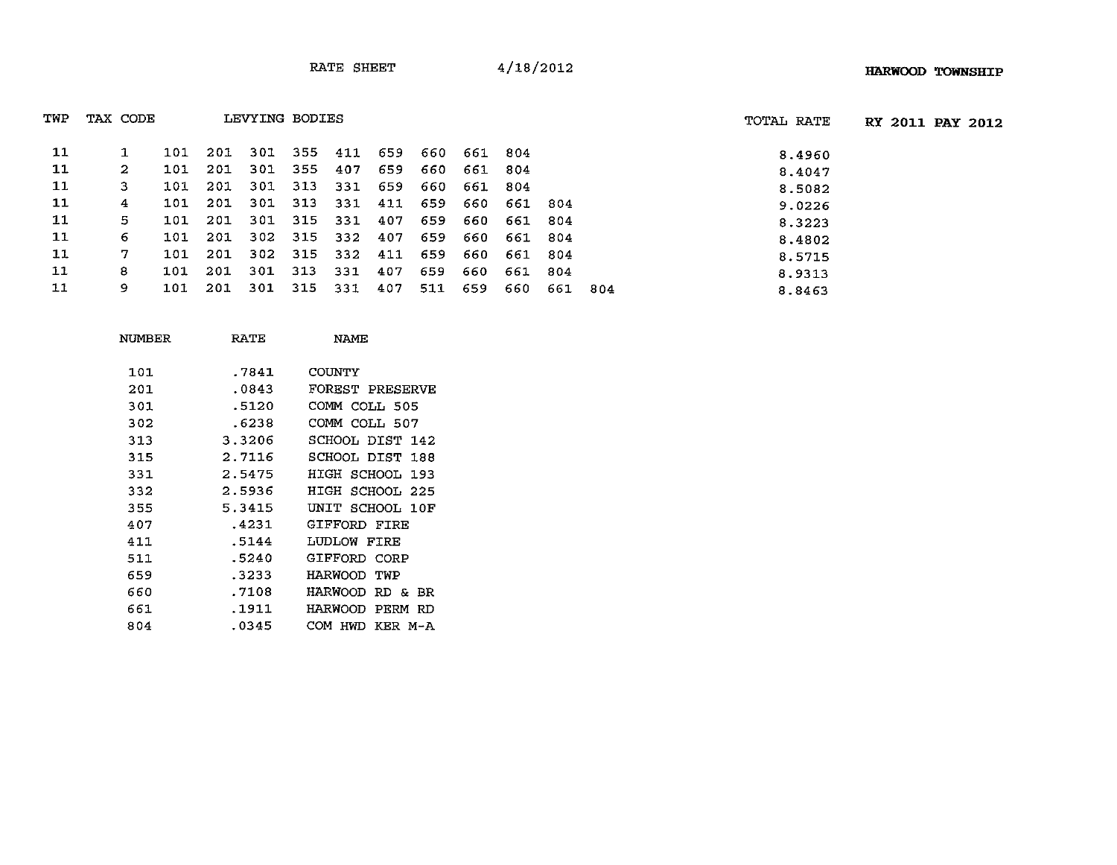| TWP | TAX CODE |     |     | LEVYING BODIES |     |     | TOTAL RATE |     |     |     |     |     |        |
|-----|----------|-----|-----|----------------|-----|-----|------------|-----|-----|-----|-----|-----|--------|
| 11  |          | 101 | 201 | 301            | 355 | 411 | 659        | 660 | 661 | 804 |     |     | 8,4960 |
| 11  | 2        | 101 | 201 | 301            | 355 | 407 | 659        | 660 | 661 | 804 |     |     | 8.4047 |
| 11  | з        | 101 | 201 | 301            | 313 | 331 | 659        | 660 | 661 | 804 |     |     | 8.5082 |
| 11  | 4        | 101 | 201 | 301            | 313 | 331 | 411        | 659 | 660 | 661 | 804 |     | 9.0226 |
| 11  | 5        | 101 | 201 | 301            | 315 | 331 | 407        | 659 | 660 | 661 | 804 |     | 8.3223 |
| 11  | 6        | 101 | 201 | 302            | 315 | 332 | 407        | 659 | 660 | 661 | 804 |     | 8.4802 |
| 11  | 7        | 101 | 201 | 302            | 315 | 332 | 411        | 659 | 660 | 661 | 804 |     | 8.5715 |
| 11  | 8        | 101 | 201 | 301            | 313 | 331 | 407        | 659 | 660 | 661 | 804 |     | 8.9313 |
| 11  | 9.       | 101 | 201 | 301            | 315 | 331 | 407        | 511 | 659 | 660 | 661 | 804 | 8.8463 |

| NUMBER | RATE   | NAME               |
|--------|--------|--------------------|
| 101    | .7841  | COUNTY             |
| 201    | .0843  | FOREST PRESERVE    |
| 301    | .5120  | COMM COLL 505      |
| 302    | .6238  | COMM COLL 507      |
| 313    | 3.3206 | SCHOOL DIST 142    |
| 315    | 2.7116 | SCHOOL DIST 188    |
| 331    | 2.5475 | HIGH SCHOOL 193    |
| 332    | 2.5936 | HIGH SCHOOL 225    |
| 355    | 5.3415 | UNIT SCHOOL 10F    |
| 407    | .4231  | GIFFORD FIRE       |
| 411    | .5144  | LUDLOW FIRE        |
| 511    | .5240  | GIFFORD CORP       |
| 659    | .3233  | HARWOOD TWP        |
| 660    | .7108  | HARWOOD RD & BR    |
| 661    | .1911  | HARWOOD PERM RD    |
| 804    | .0345  | COM HWD<br>KER M-A |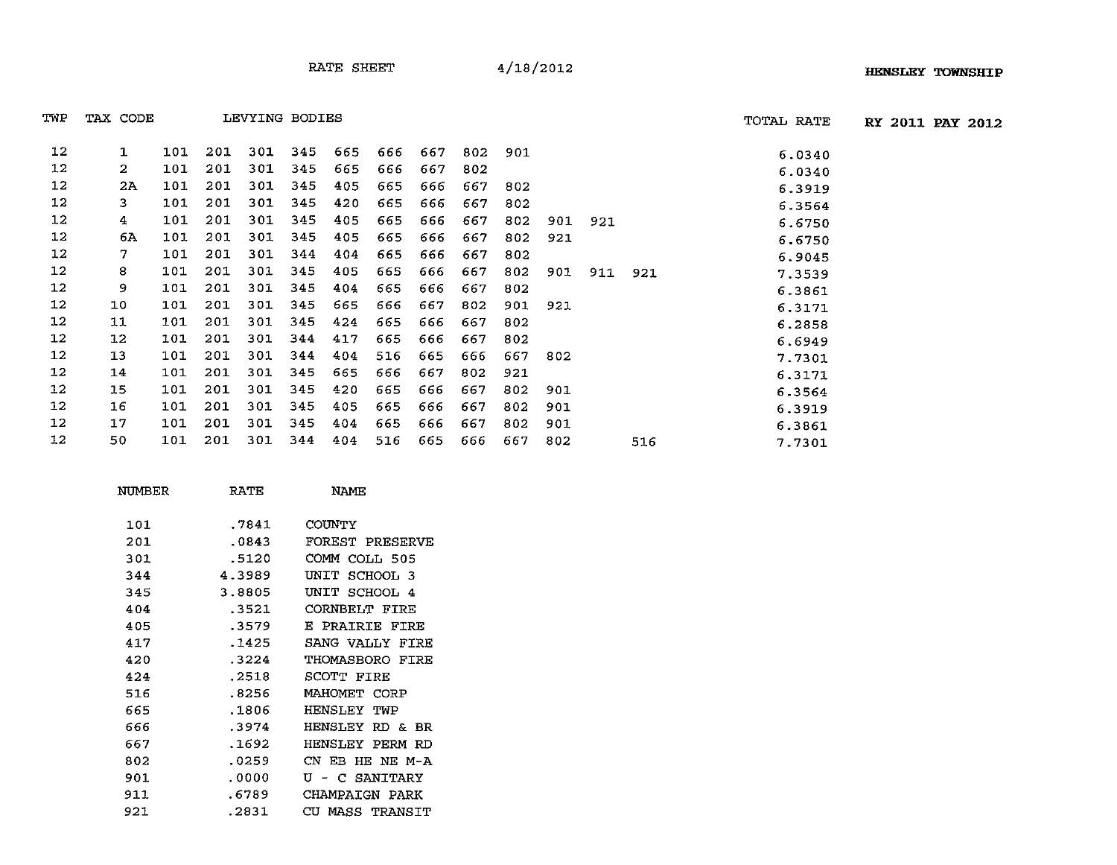TWP TAX CODE LEVYING BODIES TOTAL RATE **RY 2011 PAY 2012**

| TWP               | TAX CODE |     |     |     | LEVYING BODIES |     |     |     |     |     |     |     |     | TOTAL RATE |
|-------------------|----------|-----|-----|-----|----------------|-----|-----|-----|-----|-----|-----|-----|-----|------------|
| 12                | 1        | 101 | 201 | 301 | 345            | 665 | 666 | 667 | 802 | 901 |     |     |     | 6.0340     |
| 12                | 2        | 101 | 201 | 301 | 345            | 665 | 666 | 667 | 802 |     |     |     |     | 6.0340     |
| 12                | 2A       | 101 | 201 | 301 | 345            | 405 | 665 | 666 | 667 | 802 |     |     |     | 6.3919     |
| 12                | 3.       | 101 | 201 | 301 | 345            | 420 | 665 | 666 | 667 | 802 |     |     |     | 6.3564     |
| 12                | 4        | 101 | 201 | 301 | 345            | 405 | 665 | 666 | 667 | 802 | 901 | 921 |     | 6.6750     |
| 12                | 6A       | 101 | 201 | 301 | 345            | 405 | 665 | 666 | 667 | 802 | 921 |     |     | 6.6750     |
| 12                | 7.       | 101 | 201 | 301 | 344            | 404 | 665 | 666 | 667 | 802 |     |     |     | 6.9045     |
| $12 \,$           | 8        | 101 | 201 | 301 | 345            | 405 | 665 | 666 | 667 | 802 | 901 | 911 | 921 | 7.3539     |
| 12                | 9        | 101 | 201 | 301 | 345            | 404 | 665 | 666 | 667 | 802 |     |     |     | 6.3861     |
| $12 \,$           | 10       | 101 | 201 | 301 | 345            | 665 | 666 | 667 | 802 | 901 | 921 |     |     | 6.3171     |
| 12                | 11       | 101 | 201 | 301 | 345            | 424 | 665 | 666 | 667 | 802 |     |     |     | 6.2858     |
| $12 \overline{ }$ | 12       | 101 | 201 | 301 | 344            | 417 | 665 | 666 | 667 | 802 |     |     |     | 6.6949     |
| 12                | 13       | 101 | 201 | 301 | 344            | 404 | 516 | 665 | 666 | 667 | 802 |     |     | 7.7301     |
| 12                | 14       | 101 | 201 | 301 | 345            | 665 | 666 | 667 | 802 | 921 |     |     |     | 6.3171     |
| 12                | 15       | 101 | 201 | 301 | 345            | 420 | 665 | 666 | 667 | 802 | 901 |     |     | 6.3564     |
| 12                | 16       | 101 | 201 | 301 | 345            | 405 | 665 | 666 | 667 | 802 | 901 |     |     | 6.3919     |
| 12                | 17       | 101 | 201 | 301 | 345            | 404 | 665 | 666 | 667 | 802 | 901 |     |     | 6.3861     |
| 12                | 50       | 101 | 201 | 301 | 344            | 404 | 516 | 665 | 666 | 667 | 802 |     | 516 | 7.7301     |

| NUMBER | RATE   | <b>NAMF</b>               |
|--------|--------|---------------------------|
| 101    | .7841  | COUNTY                    |
| 201    | .0843  | FOREST PRESERVE           |
| 301    | .5120  | COMM COLL 505             |
| 344    | 4.3989 | UNIT<br>SCHOOL 3          |
| 345    | 3.8805 | UNIT SCHOOL 4             |
| 404    | .3521  | <b>CORNBELT FIRE</b>      |
| 405    | .3579  | E PRAIRIE FIRE            |
| 417    | .1425  | SANG VALLY FIRE           |
| 420    | .3224  | THOMASBORO FIRE           |
| 424    | .2518  | SCOTT FIRE                |
| 516    | .8256  | MAHOMET CORP              |
| 665    | .1806  | <b>HENSLEY TWP</b>        |
| 666    | .3974  | HENSLEY RD & BR           |
| 667    | .1692  | HENSLEY PERM RD           |
| 802    | .0259  | CN EB HE NE M-A           |
| 901    | .0000  | U<br>- C SANITARY         |
| 911    | .6789  | CHAMPAIGN PARK            |
| 921    | .2831  | CH<br><b>MASS TRANSIT</b> |
|        |        |                           |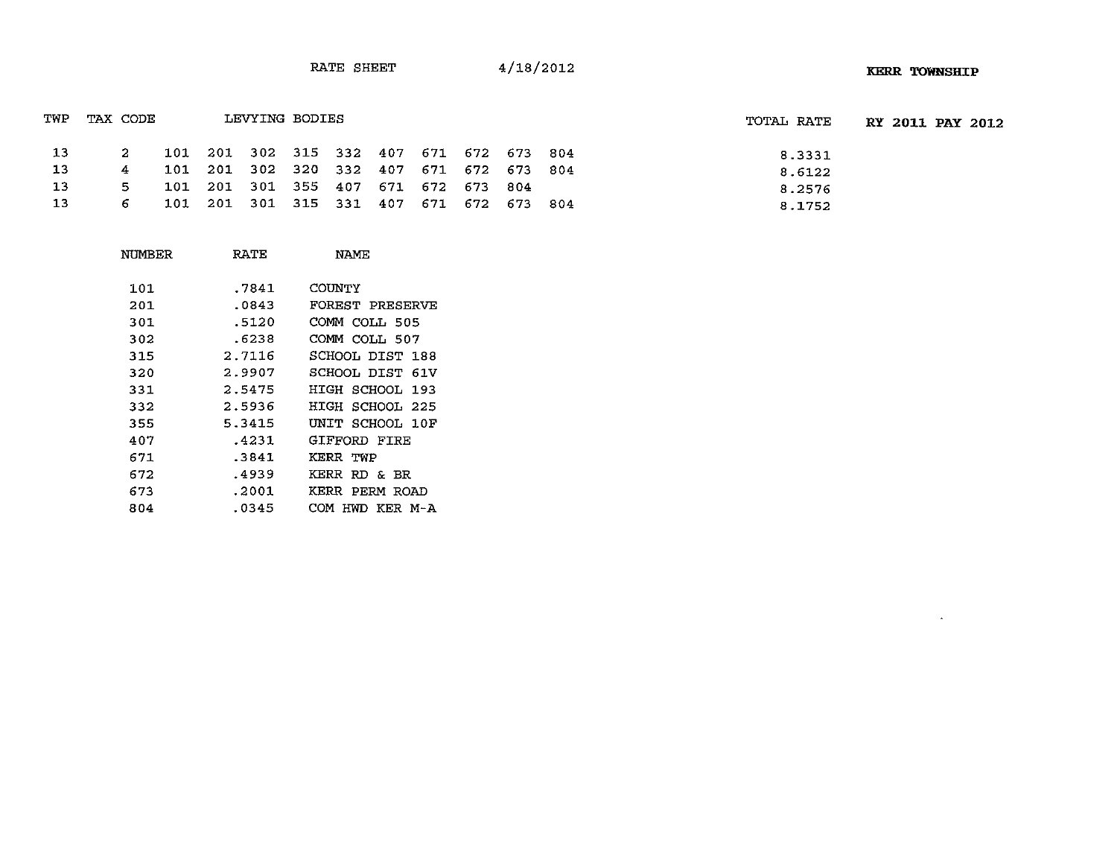$\mathcal{L}^{\text{max}}$ 

|    |     |          |  |                |  |                                     | TOTAL RATE                                                                                                                    | <b>RY 2011 PAY 2012</b> |  |
|----|-----|----------|--|----------------|--|-------------------------------------|-------------------------------------------------------------------------------------------------------------------------------|-------------------------|--|
|    |     |          |  |                |  |                                     | 8.3331                                                                                                                        |                         |  |
|    |     |          |  |                |  |                                     | 8.6122                                                                                                                        |                         |  |
| 5. |     |          |  |                |  |                                     | 8.2576                                                                                                                        |                         |  |
| 6. |     |          |  |                |  |                                     | 8.1752                                                                                                                        |                         |  |
|    | TWP | TAX CODE |  | LEVYING BODIES |  | 101 201 301 355 407 671 672 673 804 | 101 201 302 315 332 407 671 672 673 804<br>101 201 302 320 332 407 671 672 673 804<br>101 201 301 315 331 407 671 672 673 804 |                         |  |

| NUMBER | RATE   | <b>NAME</b>            |
|--------|--------|------------------------|
| 101.   | .7841  | COUNTY                 |
| 201    | .0843  | <b>FOREST PRESERVE</b> |
| 301    | .5120  | COMM COLL 505          |
| 302    | .6238  | COMM COLL 507          |
| 315    | 2.7116 | SCHOOL DIST 188        |
| 320    | 2.9907 | SCHOOL DIST 61V        |
| 331    | 2.5475 | HIGH SCHOOL 193        |
| 332    | 2.5936 | HIGH SCHOOL 225        |
| 355    | 5.3415 | UNIT SCHOOL 10F        |
| 407    | .4231  | GIFFORD FIRE           |
| 671    | .3841  | KERR TWP               |
| 672    | .4939  | KERR RD & BR           |
| 673    | .2001  | KERR PERM ROAD         |
| 804    | .0345  | сом<br>HWD KER M-A     |
|        |        |                        |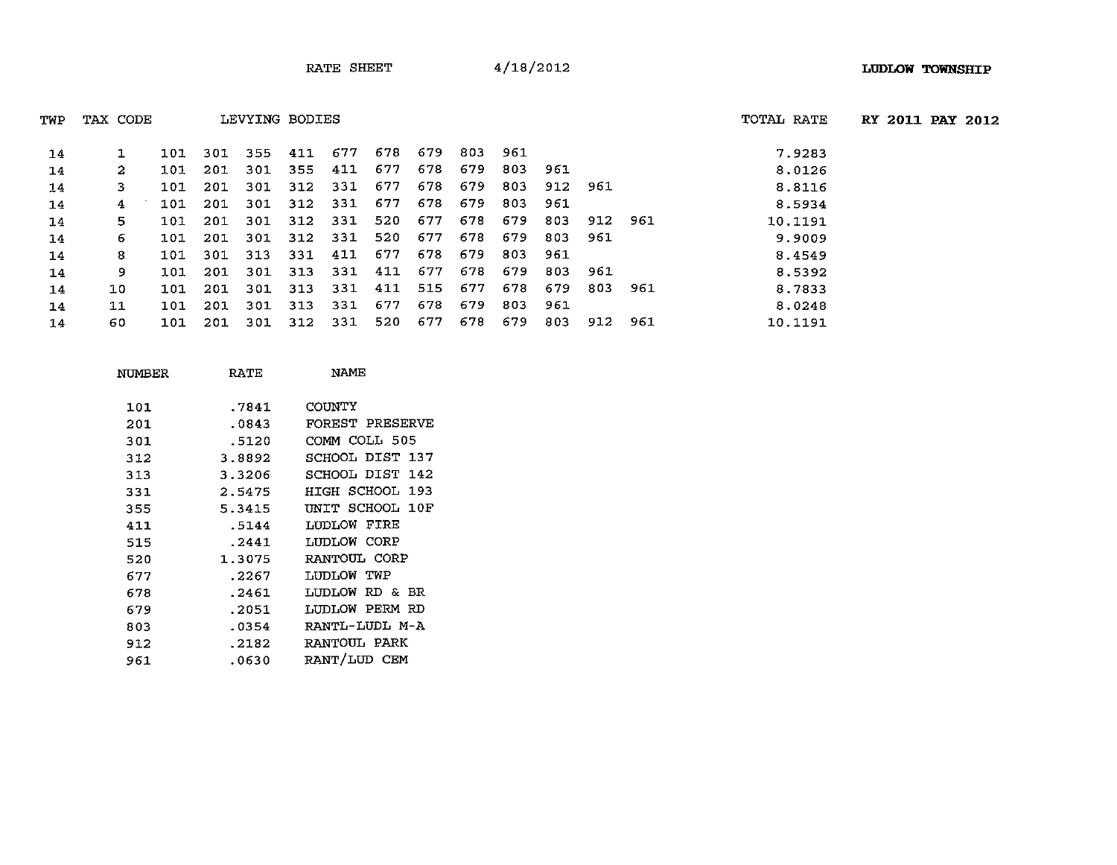| TWP | TAX CODE |     |     | LEVYING BODIES |      |     |     |     |     |     |     |         |     | TOTAL RATE | <b>RY 2011 PAY 2012</b> |  |
|-----|----------|-----|-----|----------------|------|-----|-----|-----|-----|-----|-----|---------|-----|------------|-------------------------|--|
| 14  |          | 101 | 301 | 355            | 411  | 677 | 678 | 679 | 803 | 961 |     |         |     | 7.9283     |                         |  |
| 14  | 2        | 101 | 201 | 301            | -355 | 411 | 677 | 678 | 679 | 803 | 961 |         |     | 8.0126     |                         |  |
| 14  | 3.       | 101 | 201 | 301            | 312  | 331 | 677 | 678 | 679 | 803 | 912 | 961     |     | 8.8116     |                         |  |
| 14  | 4        | 101 | 201 | 301            | 312  | 331 | 677 | 678 | 679 | 803 | 961 |         |     | 8.5934     |                         |  |
| 14  | 5.       | 101 | 201 | 301            | 312  | 331 | 520 | 677 | 678 | 679 | 803 | 912 961 |     | 10.1191    |                         |  |
| 14  | 6.       | 101 | 201 | 301            | 312  | 331 | 520 | 677 | 678 | 679 | 803 | 961     |     | 9.9009     |                         |  |
| 14  | 8        | 101 | 301 | 313            | 331  | 411 | 677 | 678 | 679 | 803 | 961 |         |     | 8.4549     |                         |  |
| 14  | 9.       | 101 | 201 | 301            | 313  | 331 | 411 | 677 | 678 | 679 | 803 | 961     |     | 8.5392     |                         |  |
| 14  | 10       | 101 | 201 | 301            | 313  | 331 | 411 | 515 | 677 | 678 | 679 | 803     | 961 | 8.7833     |                         |  |
| 14  | 11       | 101 | 201 | 301            | 313  | 331 | 677 | 678 | 679 | 803 | 961 |         |     | 8.0248     |                         |  |
| 14  | 60       | 101 | 201 | 301            | 312  | 331 | 520 | 677 | 678 | 679 | 803 | 912     | 961 | 10.1191    |                         |  |

| NUMBER | RATE   | NAME            |
|--------|--------|-----------------|
| 101    | .7841  | COUNTY          |
| 201    | .0843  | FOREST PRESERVE |
| 301    | .5120  | COMM COLL 505   |
| 312    | 3.8892 | SCHOOL DIST 137 |
| 313    | 3.3206 | SCHOOL DIST 142 |
| 331    | 2.5475 | HIGH SCHOOL 193 |
| 355    | 5.3415 | UNIT SCHOOL 10F |
| 411    | .5144  | LUDLOW FIRE     |
| 515    | .2441  | LUDLOW CORP     |
| 520    | 1.3075 | RANTOUL CORP    |
| 677    | .2267  | LUDLOW TWP      |
| 678    | .2461  | LUDLOW RD & BR  |
| 679    | .2051  | LUDLOW PERM RD  |
| 803    | .0354  | RANTL-LUDL M-A  |
| 912    | .2182  | RANTOUL PARK    |
| 961    | .0630  | RANT/LUD CEM    |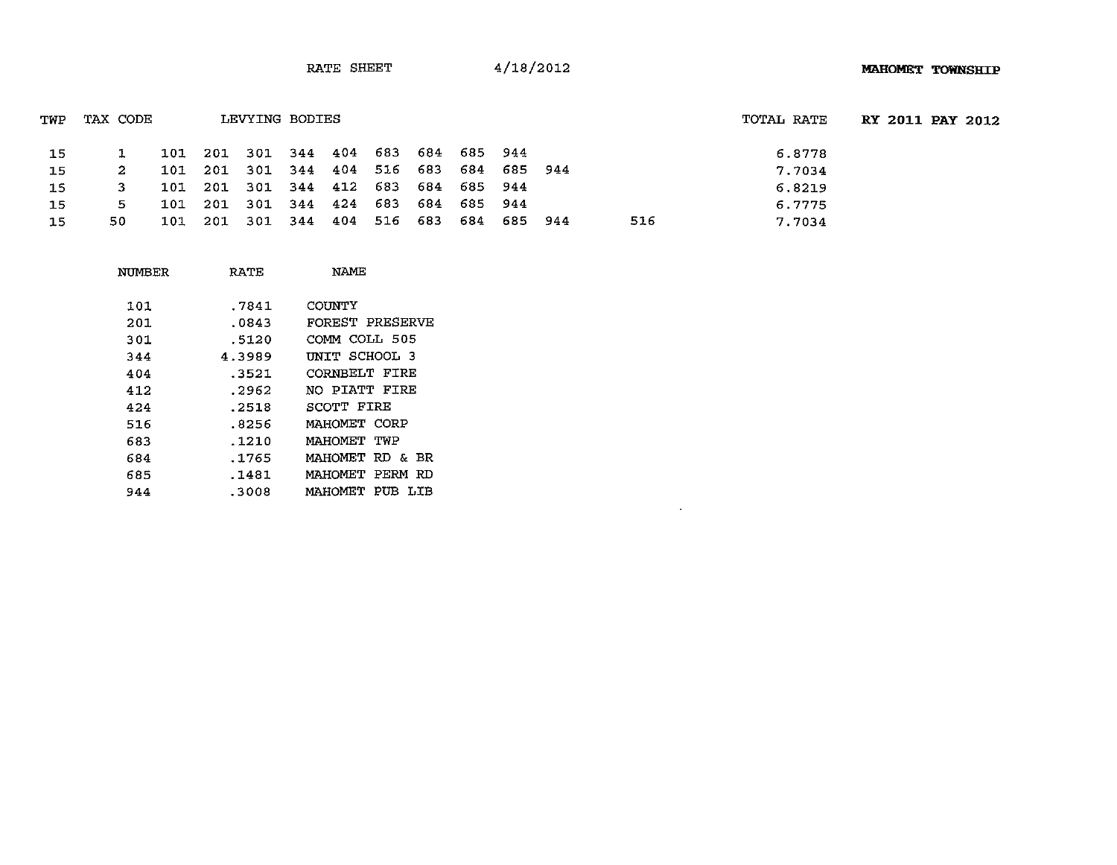| TWP | TAX CODE |     | LEVYING BODIES |                                     |             |             |     | TOTAL RATE | RY 2011 PAY 2012 |  |
|-----|----------|-----|----------------|-------------------------------------|-------------|-------------|-----|------------|------------------|--|
| 15  | ı        |     |                | 101 201 301 344 404 683 684 685 944 |             |             |     | 6.8778     |                  |  |
| 15  | 2.       |     |                | 101 201 301 344 404 516 683         |             | 684 685 944 |     | 7.7034     |                  |  |
| 15  | 3.       | 101 |                | 201 301 344 412 683 684 685 944     |             |             |     | 6.8219     |                  |  |
| 15  | 5.       | 101 |                | 201 301 344 424 683                 | 684 685 944 |             |     | 6.7775     |                  |  |
| 15  | 50.      | 101 |                | 201 301 344 404 516 683             |             | 684 685 944 | 516 | 7.7034     |                  |  |

 $\mathcal{L}^{\text{max}}_{\text{max}}$  and  $\mathcal{L}^{\text{max}}_{\text{max}}$ 

| NUMBER | RATE   | NAME               |
|--------|--------|--------------------|
| 101    | .7841  | COUNTY             |
| 201    | .0843  | FOREST PRESERVE    |
| 301    | .5120  | COMM COLL 505      |
| 344    | 4.3989 | UNIT SCHOOL 3      |
| 404    | .3521  | CORNBELT FIRE      |
| 412    | .2962  | NO PIATT FIRE      |
| 424    | .2518  | <b>SCOTT FIRE</b>  |
| 516    | .8256  | MAHOMET CORP       |
| 683    | .1210  | MAHOMET TWP        |
| 684    | .1765  | MAHOMET RD & BR    |
| 685    | .1481  | MAHOMET PERM<br>RD |
| 944    | .3008  | MAHOMET PUB<br>LTB |
|        |        |                    |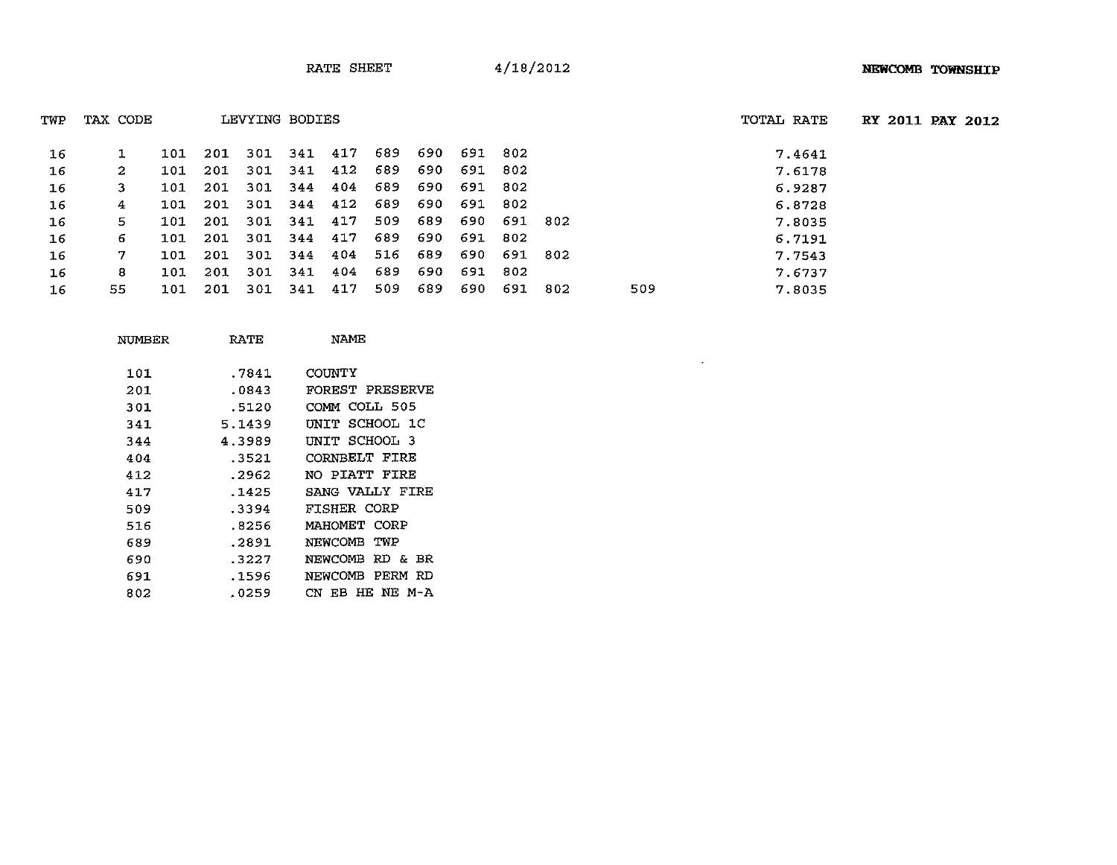$\mathcal{L}^{\text{max}}_{\text{max}}$  and  $\mathcal{L}^{\text{max}}_{\text{max}}$ 

RY **2011 PAY 2012**

| TWP | TAX CODE |     |      | LEVYING BODIES |     |     |     |      |     |     |      |     | TOTAL RATE |
|-----|----------|-----|------|----------------|-----|-----|-----|------|-----|-----|------|-----|------------|
|     |          |     |      |                |     |     |     |      |     |     |      |     |            |
| 16  |          | 101 | 201  | 301            | 341 | 417 | 689 | -690 | 691 | 802 |      |     | 7.4641     |
| 16  | 2        | 101 | -201 | 301            | 341 | 412 | 689 | 690  | 691 | 802 |      |     | 7.6178     |
| 16  | 3        | 101 | 201  | 301            | 344 | 404 | 689 | 690  | 691 | 802 |      |     | 6.9287     |
| 16  | 4        | 101 | 201  | 301            | 344 | 412 | 689 | 690  | 691 | 802 |      |     | 6.8728     |
| 16  | 5        | 101 | -201 | 301            | 341 | 417 | 509 | 689  | 690 | 691 | -802 |     | 7.8035     |
| 16  | 6        | 101 | 201  | 301            | 344 | 417 | 689 | 690  | 691 | 802 |      |     | 6.7191     |
| 16  | 7        | 101 | 201  | 301            | 344 | 404 | 516 | 689  | 690 | 691 | 302  |     | 7.7543     |
| 16  | 8        | 101 | 201  | 301            | 341 | 404 | 689 | 690  | 691 | 802 |      |     | 7.6737     |
| 16  | 55       | 101 | 201  | 301            | 341 | 417 | 509 | 689  | 690 | 691 | 802  | 509 | 7.8035     |

| RATE   | NAMF                   |
|--------|------------------------|
| .7841  | COUNTY                 |
| .0843  | FOREST PRESERVE        |
| .5120  | COMM COLL 505          |
| 5.1439 | UNIT SCHOOL 1C         |
| 4.3989 | UNIT SCHOOL 3          |
| .3521  | CORNBELT FIRE          |
| .2962  | NO PIATT FIRE          |
| .1425  | SANG VALLY FIRE        |
| .3394  | FISHER CORP            |
| .8256  | MAHOMET CORP           |
| .2891  | NEWCOMB<br>TWP         |
| .3227  | NEWCOMB RD & BR        |
| .1596  | NEWCOMB PERM RD        |
| .0259  | HE NE M-A<br>EBI<br>CN |
|        |                        |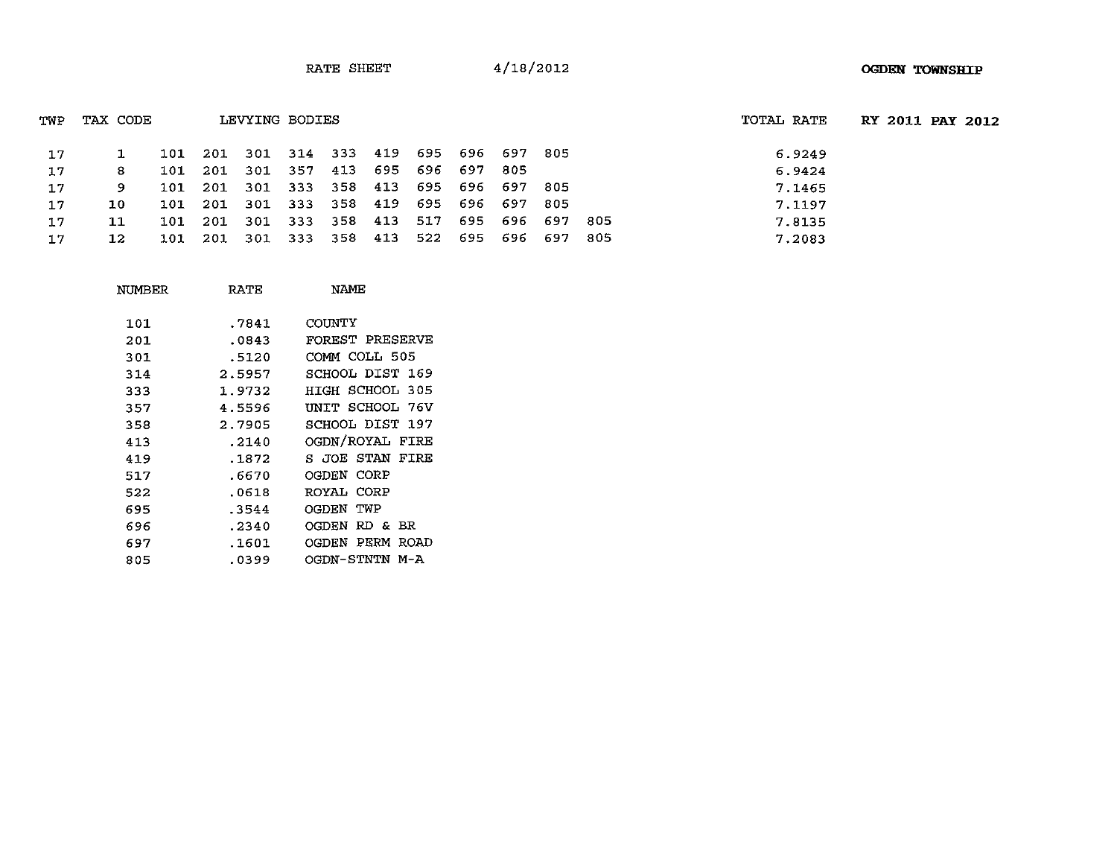| TWP             | TAX CODE |     |                                         | LEVYING BODIES |  |         |                     |             |     | TOTAL RATE | RY 2011 PAY 2012 |  |
|-----------------|----------|-----|-----------------------------------------|----------------|--|---------|---------------------|-------------|-----|------------|------------------|--|
| 17              |          |     | 101 201 301 314 333 419 695 696 697 805 |                |  |         |                     |             |     | 6.9249     |                  |  |
| 17              | 8        |     | 101 201 301 357 413 695 696 697 805     |                |  |         |                     |             |     | 6.9424     |                  |  |
| 17              | 9.       |     | 101 201 301 333 358 413 695 696 697 805 |                |  |         |                     |             |     | 7.1465     |                  |  |
| 17 <sub>1</sub> | 10.      |     | 101 201 301 333 358 419 695 696 697 805 |                |  |         |                     |             |     | 7.1197     |                  |  |
| 17              | 11       |     | 101 201 301 333 358 413 517             |                |  |         |                     | 695 696 697 | 805 | 7.8135     |                  |  |
| 17              | 12       | 101 |                                         | 201 301 333    |  | 358 413 | 522 695 696 697 805 |             |     | 7.2083     |                  |  |

| NUMBER | RATE   | NAME             |
|--------|--------|------------------|
| 101    | .7841  | COUNTY           |
| 201    | .0843  | FOREST PRESERVE  |
| 301    | .5120  | COMM COLL 505    |
| 314    | 2.5957 | SCHOOL DIST 169  |
| 333    | 1.9732 | HIGH SCHOOL 305  |
| 357    | 4.5596 | UNIT SCHOOL 76V  |
| 358    | 2.7905 | SCHOOL DIST 197  |
| 413    | .2140  | OGDN/ROYAL FIRE  |
| 419    | .1872  | S JOE STAN FIRE  |
| 517    | .6670  | OGDEN CORP       |
| 522    | .0618  | ROYAL CORP       |
| 695    | .3544  | <b>OGDEN TWP</b> |
| 696    | .2340  | OGDEN RD & BR    |
| 697    | .1601  | OGDEN PERM ROAD  |
| 805    | .0399  | OGDN-STNTN M-A   |
|        |        |                  |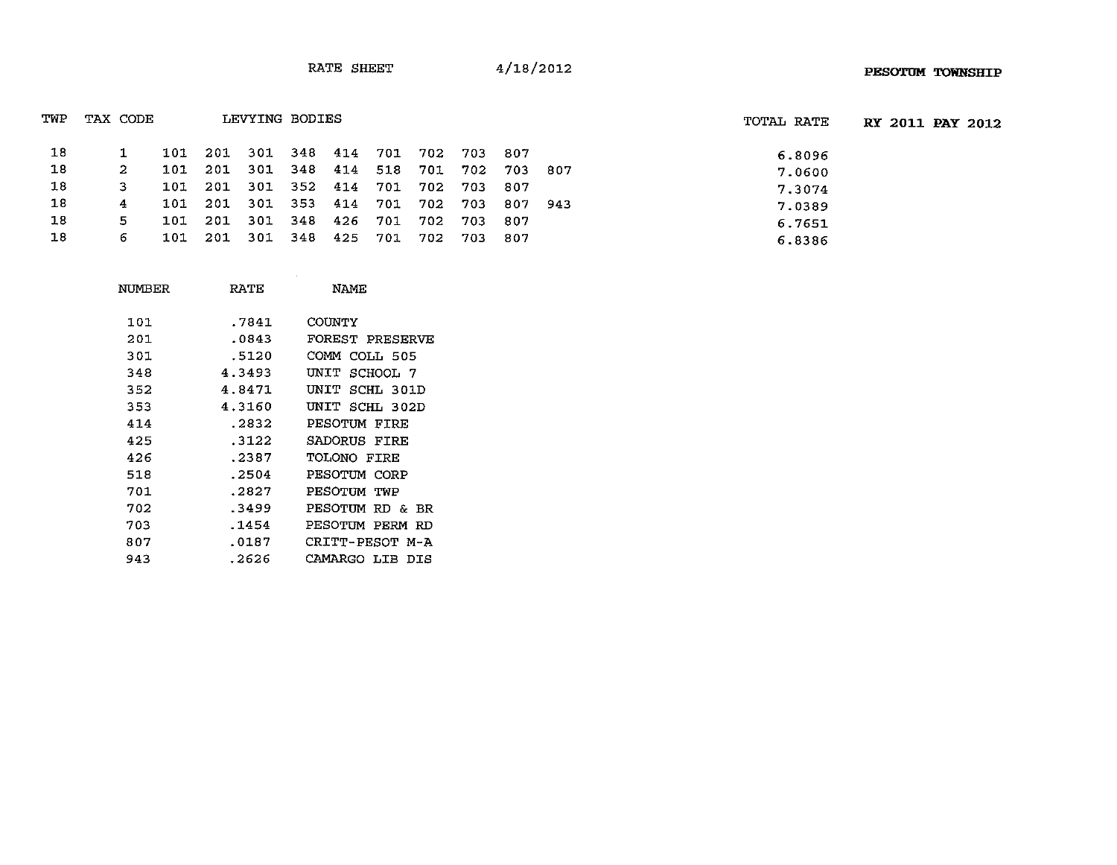| TWP | TAX CODE |     |      |         | LEVYING BODIES |     |     |     |      |         |     | TOTAL RATE | RY 2011 PAY 2012 |  |
|-----|----------|-----|------|---------|----------------|-----|-----|-----|------|---------|-----|------------|------------------|--|
| 18  |          | 101 | -201 |         | 301 348 414    |     | 701 | 702 | 703  | -807    |     | 6.8096     |                  |  |
| 18  | 2        | 101 | -201 |         | 301 348 414    |     | 518 | 701 | 702  | 703 807 |     | 7.0600     |                  |  |
| 18  | з        | 101 | 201  |         | 301 352        | 414 | 701 | 702 | 703  | -807    |     | 7.3074     |                  |  |
| 18  | 4        | 101 | 201  | 301 353 |                | 414 | 701 | 702 | 703  | 807     | 943 | 7.0389     |                  |  |
| 18  | 5.       | 101 | -201 |         | 301 348        | 426 | 701 | 702 | 703  | -807    |     | 6.7651     |                  |  |
| 18  | 6        | 101 | 201  |         | 301 348        | 425 | 701 | 702 | 703. | -807    |     | 6.8386     |                  |  |

| NUMBER | <b>RATE</b> | <b>NAME</b>        |
|--------|-------------|--------------------|
| 101    | .7841       | COUNTY             |
| 201    | .0843       | FOREST PRESERVE    |
| 301    | .5120       | COMM COLL 505      |
| 348    | 4.3493      | UNIT SCHOOL 7      |
| 352    | 4.8471      | UNTT<br>SCHL 301D  |
| 353    | 4.3160      | UNIT SCHL 302D     |
| 414    | .2832       | PESOTUM FIRE       |
| 425    | .3122       | SADORUS FIRE       |
| 426    | .2387       | TOLONO FIRE        |
| 518    | .2504       | PESOTUM CORP       |
| 701    | .2827       | PESOTUM TWP        |
| 702    | .3499       | PESOTUM RD & BR    |
| 703    | .1454       | PESOTUM PERM RD    |
| 807    | .0187       | CRITT-PESOT M-A    |
| 943    | . 2626      | CAMARGO ITB<br>DTS |
|        |             |                    |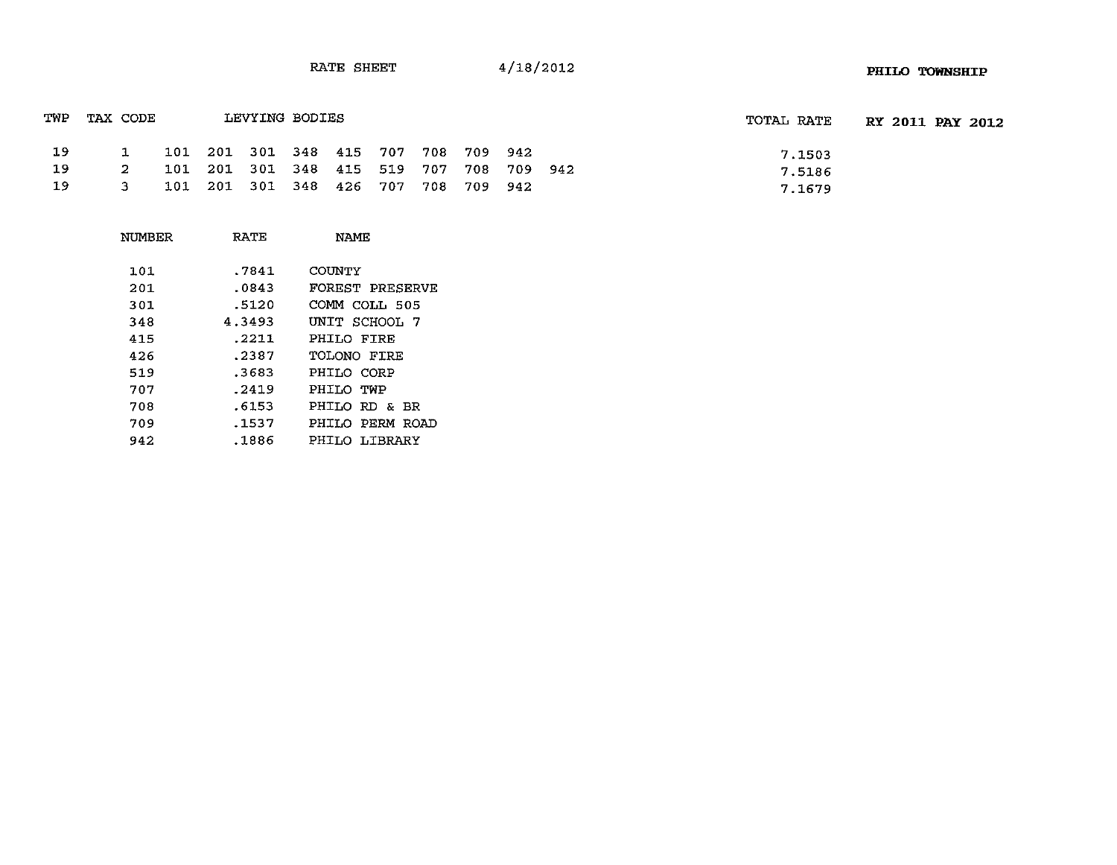| TWP | TAX CODE |  | LEVYING BODIES |                                         |  |  | TOTAL RATE | <b>RY 2011 PAY 2012</b> |  |
|-----|----------|--|----------------|-----------------------------------------|--|--|------------|-------------------------|--|
| -19 |          |  |                | 101 201 301 348 415 707 708 709 942     |  |  | 7.1503     |                         |  |
| -19 | -2       |  |                | 101 201 301 348 415 519 707 708 709 942 |  |  | 7.5186     |                         |  |
| -19 | 3        |  |                | 101 201 301 348 426 707 708 709 942     |  |  | 7.1679     |                         |  |

| RATE   | <b>NAMF</b>            |
|--------|------------------------|
| .7841  | COUNTY                 |
| .0843  | <b>FOREST PRESERVE</b> |
| .5120  | COMM COLL 505          |
| 4.3493 | UNIT SCHOOL 7          |
| .2211  | PHILO FTRF             |
| .2387  | TOLONO FIRE            |
| .3683  | PHILO CORP             |
| .2419  | PHILO TWP              |
| .6153  | PHILO RD & BR          |
| .1537  | PHILO PERM ROAD        |
| .1886  | PHILO LIBRARY          |
|        |                        |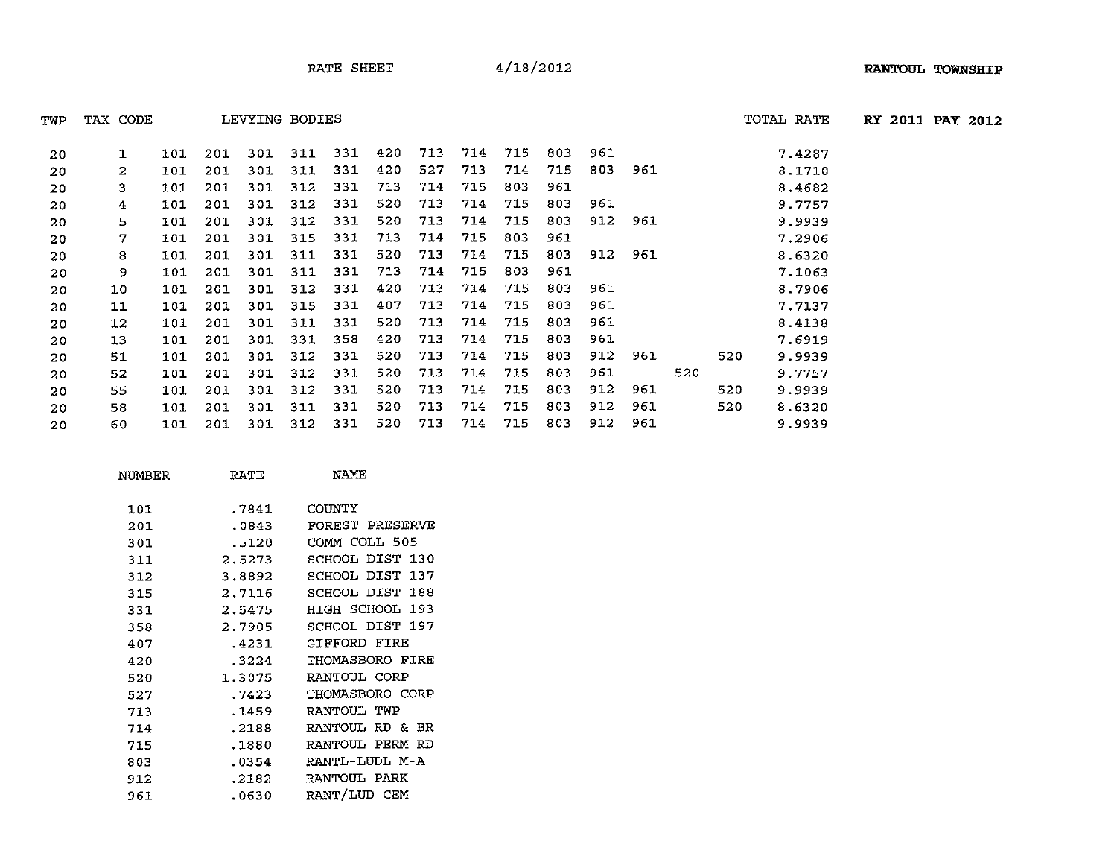TWP TAX CODE LEVYING BODIES TOTAL RATE **RY** 2011 PAY 2012

|  | EVYING BODIES |
|--|---------------|
|--|---------------|

| -20- |                                                   | 1 101 201 301 311 331 420 713 714 715 803 961 |  |  |  |  |  | 7.4287 |
|------|---------------------------------------------------|-----------------------------------------------|--|--|--|--|--|--------|
| -20  | 2 101 201 301 311 331 420 527 713 714 715 803 961 |                                               |  |  |  |  |  | 8.1710 |
|      | 20 3 101 201 301 312 331 713 714 715 803 961      |                                               |  |  |  |  |  | 8.4682 |
|      |                                                   |                                               |  |  |  |  |  | .      |

| 20  | 3  | 101 | 201 | 301 | 312 | 331 | 713 | 714 | 715 | 803 | 961 |     |     |     |     | 8.4682 |
|-----|----|-----|-----|-----|-----|-----|-----|-----|-----|-----|-----|-----|-----|-----|-----|--------|
| 20  | 4  | 101 | 201 | 301 | 312 | 331 | 520 | 713 | 714 | 715 | 803 | 961 |     |     |     | 9.7757 |
| 20  | 5  | 101 | 201 | 301 | 312 | 331 | 520 | 713 | 714 | 715 | 803 | 912 | 961 |     |     | 9.9939 |
| 20  | 7  | 101 | 201 | 301 | 315 | 331 | 713 | 714 | 715 | 803 | 961 |     |     |     |     | 7.2906 |
| 20  | 8  | 101 | 201 | 301 | 311 | 331 | 520 | 713 | 714 | 715 | 803 | 912 | 961 |     |     | 8.6320 |
| 20  | 9  | 101 | 201 | 301 | 311 | 331 | 713 | 714 | 715 | 803 | 961 |     |     |     |     | 7.1063 |
| 20  | 10 | 101 | 201 | 301 | 312 | 331 | 420 | 713 | 714 | 715 | 803 | 961 |     |     |     | 8.7906 |
| 20  | 11 | 101 | 201 | 301 | 315 | 331 | 407 | 713 | 714 | 715 | 803 | 961 |     |     |     | 7.7137 |
| 20  | 12 | 101 | 201 | 301 | 311 | 331 | 520 | 713 | 714 | 715 | 803 | 961 |     |     |     | 8.4138 |
| 20  | 13 | 101 | 201 | 301 | 331 | 358 | 420 | 713 | 714 | 715 | 803 | 961 |     |     |     | 7.6919 |
| 20  | 51 | 101 | 201 | 301 | 312 | 331 | 520 | 713 | 714 | 715 | 803 | 912 | 961 |     | 520 | 9.9939 |
| -20 | 52 | 101 | 201 | 301 | 312 | 331 | 520 | 713 | 714 | 715 | 803 | 961 |     | 520 |     | 9.7757 |
| -20 | 55 | 101 | 201 | 301 | 312 | 331 | 520 | 713 | 714 | 715 | 803 | 912 | 961 |     | 520 | 9.9939 |
| -20 | 58 | 101 | 201 | 301 | 311 | 331 | 520 | 713 | 714 | 715 | 803 | 912 | 961 |     | 520 | 8.6320 |
| 20  | 60 | 101 | 201 | 301 | 312 | 331 | 520 | 713 | 714 | 715 | 803 | 912 | 961 |     |     | 9.9939 |

| NUMBER | RATE   | NAME                   |
|--------|--------|------------------------|
| 101    | .7841  | <b>COUNTY</b>          |
| 201    | .0843  | FOREST PRESERVE        |
| 301    | .5120  | COMM COLL 505          |
| 311    | 2.5273 | SCHOOL DIST 130        |
| 312    | 3.8892 | SCHOOL DIST 137        |
| 315    | 2.7116 | SCHOOL DIST 188        |
| 331    | 2.5475 | HIGH SCHOOL 193        |
| 358    | 2.7905 | SCHOOL DIST 197        |
| 407    | .4231  | GIFFORD FIRE           |
| 420    | .3224  | <b>THOMASBORO FIRE</b> |
| 520    | 1.3075 | RANTOUL CORP           |
| 527    | .7423  | THOMASBORO CORP        |
| 713    | .1459  | RANTOUL TWP            |
| 714    | .2188  | RANTOUL RD & BR        |
| 715    | .1880  | RANTOUL PERM RD        |
| 803    | .0354  | RANTL-LUDL M-A         |
| 912    | .2182  | RANTOUL PARK           |
| 961    | .0630  | RANT/LUD CEM           |
|        |        |                        |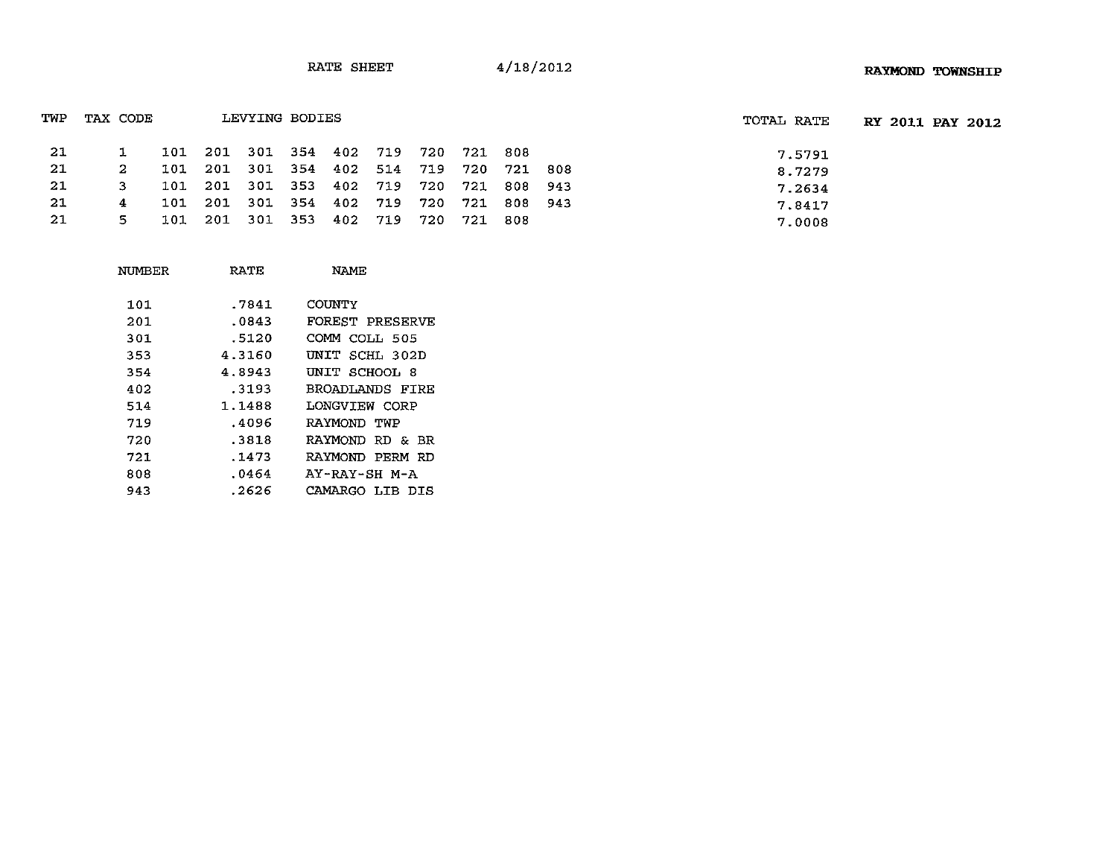| TWP | TAX CODE |     |                                         | LEVYING BODIES |  |  |       |             | TOTAL RATE | RY 2011 PAY 2012 |
|-----|----------|-----|-----------------------------------------|----------------|--|--|-------|-------------|------------|------------------|
| -21 |          |     | 101 201 301 354 402 719 720 721 808     |                |  |  |       |             | 7.5791     |                  |
| -21 |          |     | 101 201 301 354 402 514 719 720 721 808 |                |  |  |       |             | 8.7279     |                  |
| -21 | 3.       |     | 101 201 301 353 402 719 720             |                |  |  |       | 721 808 943 | 7.2634     |                  |
| -21 | 4        | 101 | 201 301 354 402 719 720                 |                |  |  | 721   | 808 943     | 7.8417     |                  |
| -21 | 5.       | 101 | 201 301 353 402 719 720                 |                |  |  | - 721 | - 808       | 7.0008     |                  |

| NUMBER | RATE   | NAME                   |
|--------|--------|------------------------|
| 101    | .7841  | COUNTY                 |
| 201    | .0843  | <b>FOREST PRESERVE</b> |
| 301    | .5120  | COMM COLL 505          |
| 353    | 4.3160 | UNIT SCHL 302D         |
| 354    | 4.8943 | UNIT SCHOOL 8          |
| 402    | .3193  | BROADLANDS FIRE        |
| 514    | 1.1488 | LONGVIEW CORP          |
| 719    | .4096  | RAYMOND TWP            |
| 720    | .3818  | RAYMOND RD & BR        |
| 721    | .1473  | RAYMOND PERM RD        |
| 808    | .0464  | AY-RAY-SH M-A          |
| 943    | .2626  | CAMARGO LIB DIS        |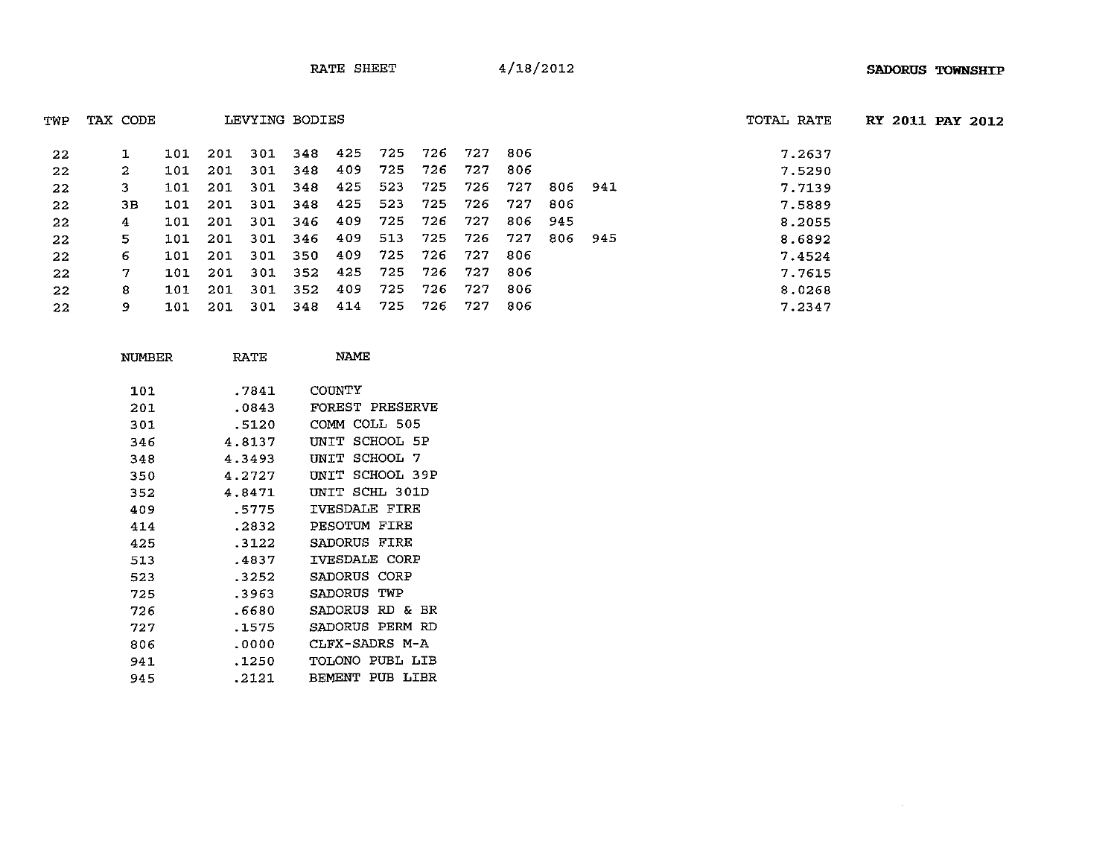| TWP | TAX CODE |     |      | LEVYING BODIES |     |     |     |     |      |      |     |      | TOTAL RATE |
|-----|----------|-----|------|----------------|-----|-----|-----|-----|------|------|-----|------|------------|
| 22  | 1        | 101 | 201  | 301            | 348 | 425 | 725 | 726 | -727 | -806 |     |      | 7.2637     |
| 22  | 2        | 101 | 201  | 301            | 348 | 409 | 725 | 726 | 727  | 806  |     |      | 7.5290     |
| 22  | 3.       | 101 | -201 | 301            | 348 | 425 | 523 | 725 | 726  | 727  | 806 | 941  | 7.7139     |
| 22  | 3В.      | 101 | 201  | 301            | 348 | 425 | 523 | 725 | 726  | 727  | 806 |      | 7.5889     |
| 22  | 4        | 101 | 201  | 301            | 346 | 409 | 725 | 726 | 727  | 806  | 945 |      | 8.2055     |
| 22  | 5.       | 101 | 201  | 301            | 346 | 409 | 513 | 725 | 726  | 727  | 806 | -945 | 8.6892     |
| 22  | 6        | 101 | 201  | 301            | 350 | 409 | 725 | 726 | 727  | -806 |     |      | 7.4524     |
| 22  | 7        | 101 | 201  | 301            | 352 | 425 | 725 | 726 | 727  | 806  |     |      | 7.7615     |
| 22  | 8        | 101 | 201  | 301            | 352 | 409 | 725 | 726 | 727  | 806  |     |      | 8.0268     |
| 22  | 9        | 101 | 201  | 301            | 348 | 414 | 725 | 726 | 727  | 806  |     |      | 7.2347     |

| NUMBER | RATE   | <b>NAME</b>               |
|--------|--------|---------------------------|
| 101    | .7841  | COUNTY                    |
| 201    | .0843  | <b>FOREST PRESERVE</b>    |
| 301    | .5120  | COLL 505<br>COMM          |
| 346    | 4.8137 | SCHOOL 5P<br>INTT         |
| 348    | 4.3493 | SCHOOL<br>UNIT<br>-7      |
| 350    | 4.2727 | SCHOOL 39P<br>UNIT        |
| 352    | 4.8471 | INTT SCHL 301D            |
| 409    | .5775  | <b>TVESDALE FIRE</b>      |
| 414    | .2832  | FIRE<br>PESOTUM           |
| 425    | . 3122 | SADORUS<br>FIRE           |
| 513    | .4837  | IVESDALE CORP             |
| 523    | .3252  | SADORUS<br>CORP           |
| 725    | .3963  | <b>SADORUS</b><br>TWP     |
| 726    | .6680  | RD &<br>SADORUS<br>BR     |
| 727    | .1575  | SADORUS<br>PERM<br>RD     |
| 806    | .0000  | CLFX-SADRS M-A            |
| 941    | .1250  | PUBL LIB<br><b>TOLONO</b> |
| 945    | .2121  | PUB LIBR<br><b>BEMENT</b> |

AL RATE RY 2011 **PAY** 2012

 $\sim 10^{-1}$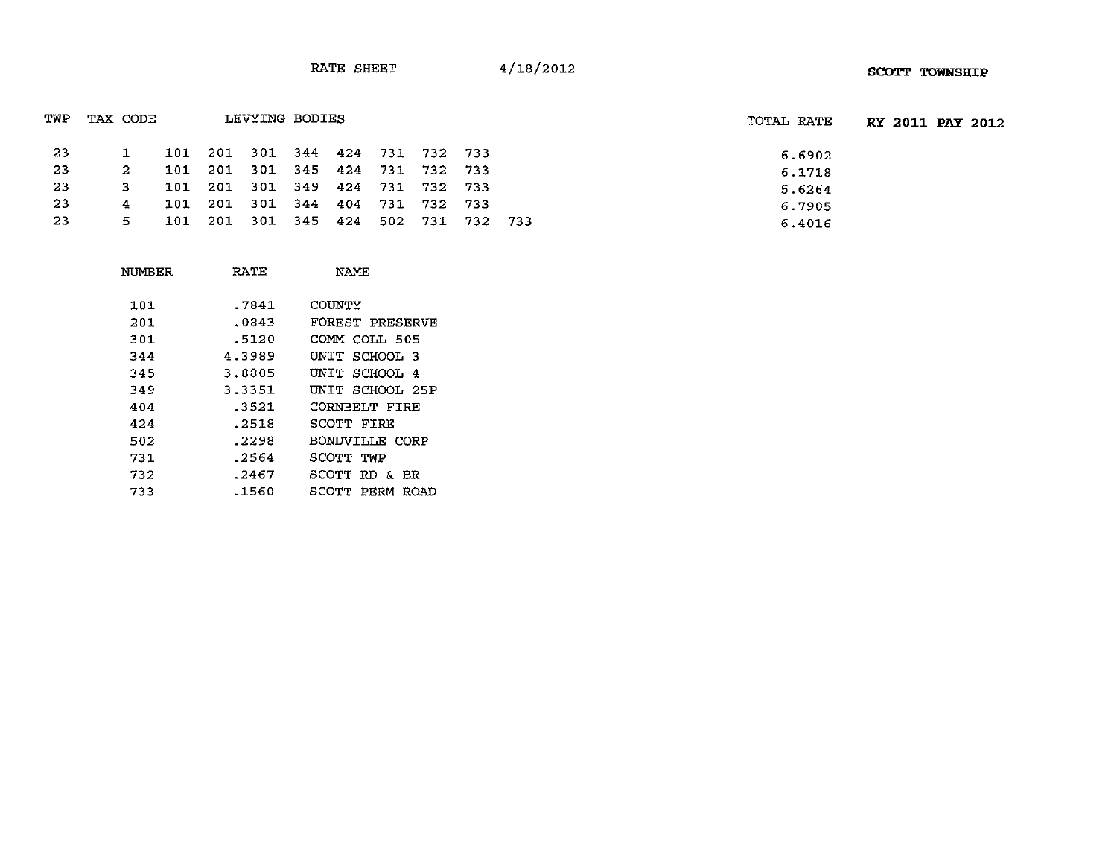| TWP | TAX CODE |     |     | LEVYING BODIES              |                         |     |             |      |       |       |  | TOTAL RATE |  | <b>RY 2011 PAY 2012</b> |
|-----|----------|-----|-----|-----------------------------|-------------------------|-----|-------------|------|-------|-------|--|------------|--|-------------------------|
| 23  |          | 101 |     | 201 301 344 424 731 732 733 |                         |     |             |      |       |       |  | 6.6902     |  |                         |
| -23 |          | 101 | 201 |                             | 301 345 424 731 732 733 |     |             |      |       |       |  | 6.1718     |  |                         |
| 23  |          | 101 |     | 201 301 349 424 731 732     |                         |     |             |      | - 733 |       |  | 5.6264     |  |                         |
| 23  | 4        | 101 |     | 201 301 344                 |                         | 404 | 731 732 733 |      |       |       |  | 6.7905     |  |                         |
| 23  | 5.       | 101 |     | 201 301 345 424             |                         |     | 502         | -731 | 732   | - 733 |  | 6.4016     |  |                         |
|     |          |     |     |                             |                         |     |             |      |       |       |  |            |  |                         |

| NUMBER | RATE   | NAME                 |
|--------|--------|----------------------|
| 101    | .7841  | COUNTY               |
| 201    | .0843  | FOREST PRESERVE      |
| 301    | .5120  | COMM COLL 505        |
| 344    | 4.3989 | UNIT SCHOOL 3        |
| 345    | 3.8805 | UNIT SCHOOL 4        |
| 349    | 3.3351 | UNIT SCHOOL 25P      |
| 404    | .3521  | <b>CORNBELT FIRE</b> |
| 424    | .2518  | SCOTT FIRE           |
| 502    | .2298  | BONDVILLE CORP       |
| 731    | .2564  | SCOTT TWP            |
| 732    | .2467  | SCOTT RD & BR        |
| 733    | .1560  | SCOTT PERM ROAD      |
|        |        |                      |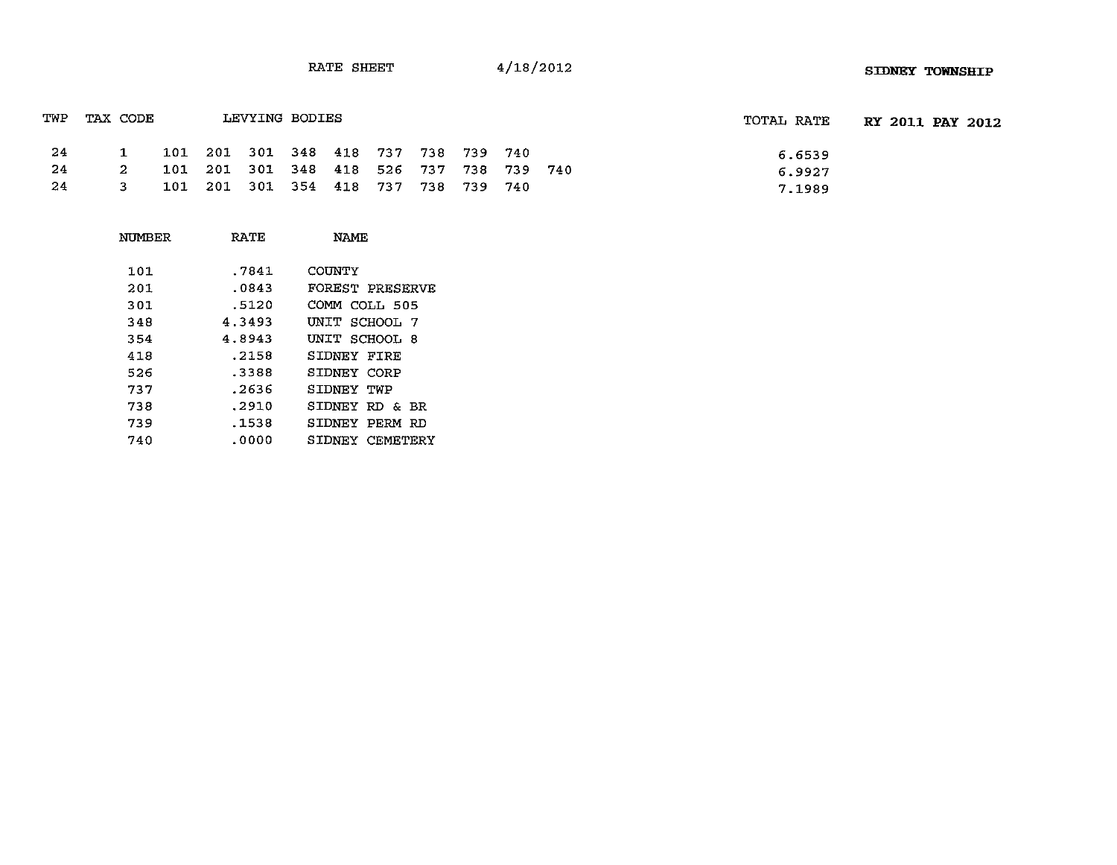| TWP  | TAX CODE     |                                         | LEVYING BODIES |  |  |  | TOTAL RATE | <b>RY 2011 PAY 2012</b> |  |
|------|--------------|-----------------------------------------|----------------|--|--|--|------------|-------------------------|--|
| - 24 | $\mathbf{1}$ | 101 201 301 348 418 737 738 739 740     |                |  |  |  | 6.6539     |                         |  |
| -24  | $2^{\circ}$  | 101 201 301 348 418 526 737 738 739 740 |                |  |  |  | 6.9927     |                         |  |
| -24  | 3.           | 101 201 301 354 418 737 738 739 740     |                |  |  |  | 7.1989     |                         |  |

| NUMBER | <b>RATE</b> | <b>NAME</b>          |
|--------|-------------|----------------------|
| 101    | .7841       | COUNTY               |
| 201    | .0843       | FOREST PRESERVE      |
| 301    | .5120       | COMM COLL 505        |
| 348    | 4.3493      | UNIT SCHOOL 7        |
| 354    | 4.8943      | UNIT SCHOOL 8        |
| 418    | .2158       | SIDNEY FIRE          |
| 526    | .3388       | SIDNEY CORP          |
| 737    | .2636       | SIDNEY TWP           |
| 738    | .2910       | SIDNEY RD & BR       |
| 739    | .1538       | SIDNEY<br>PERM<br>RD |
| 740    | .0000       | SIDNEY CEMETERY      |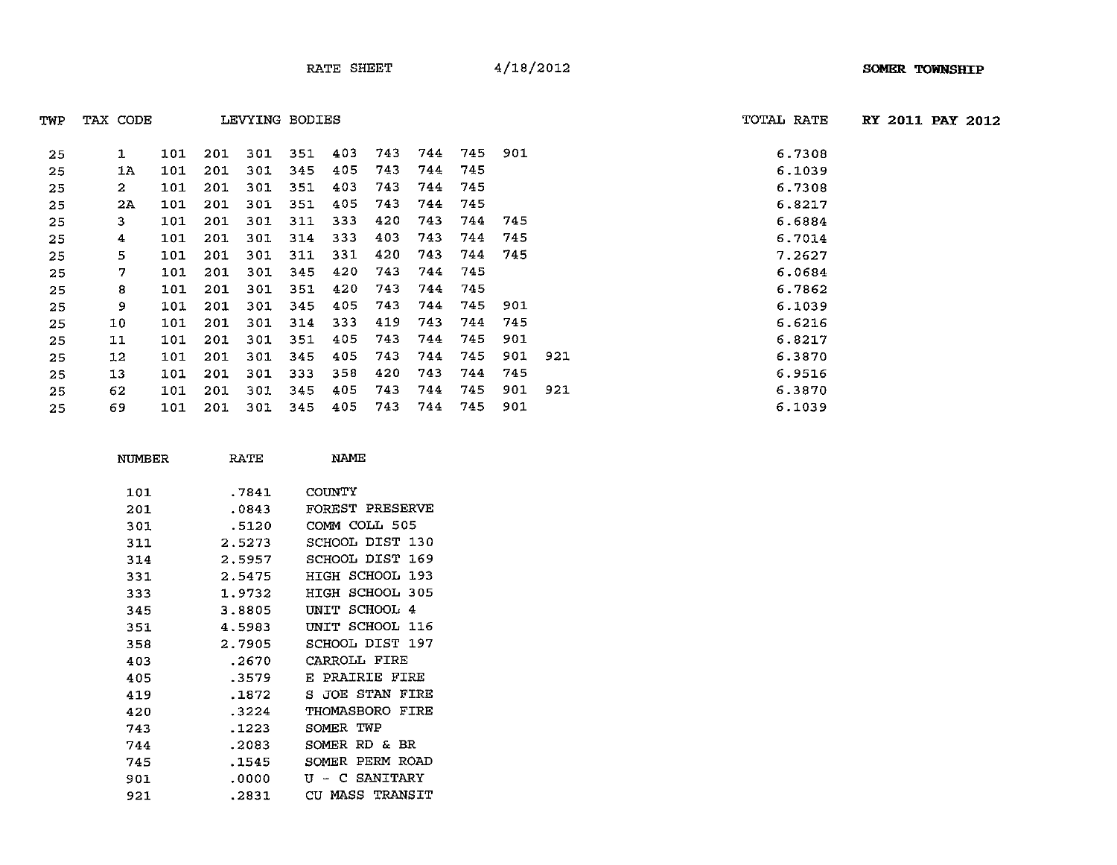| TWP  | TAX CODE |  | LEVYING BODIES |                                     |  |  | TOTAL RATE | <b>RY 2011 PAY 2012</b> |
|------|----------|--|----------------|-------------------------------------|--|--|------------|-------------------------|
| -25  |          |  |                | 101 201 301 351 403 743 744 745 901 |  |  | 6.7308     |                         |
| -25  | 1A       |  |                | 101 201 301 345 405 743 744 745     |  |  | 6.1039     |                         |
| -25  |          |  |                | 101 201 301 351 403 743 744 745     |  |  | 6.7308     |                         |
| - 25 | 2A       |  |                | 101 201 301 351 405 743 744 745     |  |  | 6.8217     |                         |

| -25 |    | TOT | <b>ZUT</b> | 30 L | 35 L | 405 | 743 | 744 | 745 | <b>SOT</b> |     | 6.7308 |
|-----|----|-----|------------|------|------|-----|-----|-----|-----|------------|-----|--------|
| 25  | 1A | 101 | 201        | 301  | 345  | 405 | 743 | 744 | 745 |            |     | 6.1039 |
| 25  | 2  | 101 | 201        | 301  | 351  | 403 | 743 | 744 | 745 |            |     | 6.7308 |
| 25  | 2A | 101 | 201        | 301  | 351  | 405 | 743 | 744 | 745 |            |     | 6.8217 |
| 25  | 3  | 101 | 201        | 301  | 311  | 333 | 420 | 743 | 744 | 745        |     | 6.6884 |
| 25  | 4  | 101 | 201        | 301  | 314  | 333 | 403 | 743 | 744 | 745        |     | 6.7014 |
| 25  | 5. | 101 | 201        | 301  | 311  | 331 | 420 | 743 | 744 | 745        |     | 7.2627 |
| 25  | 7  | 101 | 201        | 301  | 345  | 420 | 743 | 744 | 745 |            |     | 6.0684 |
| 25  | 8  | 101 | 201        | 301  | 351  | 420 | 743 | 744 | 745 |            |     | 6.7862 |
| 25  | 9  | 101 | 201        | 301  | 345  | 405 | 743 | 744 | 745 | 901        |     | 6.1039 |
| 25  | 10 | 101 | 201        | 301  | 314  | 333 | 419 | 743 | 744 | 745        |     | 6.6216 |
| 25  | 11 | 101 | 201        | 301  | 351  | 405 | 743 | 744 | 745 | 901        |     | 6.8217 |
| 25  | 12 | 101 | 201        | 301  | 345  | 405 | 743 | 744 | 745 | 901        | 921 | 6.3870 |
| 25  | 13 | 101 | 201        | 301  | 333  | 358 | 420 | 743 | 744 | 745        |     | 6.9516 |
| 25  | 62 | 101 | 201        | 301  | 345  | 405 | 743 | 744 | 745 | 901        | 921 | 6.3870 |
|     |    |     |            |      |      |     |     |     |     |            |     |        |

69 101 201 301 345 405 743 744 745 901 6.1039

| NUMBER | <b>RATE</b> | NAME            |
|--------|-------------|-----------------|
| 101    | .7841       | COUNTY          |
| 201    | .0843       | FOREST PRESERVE |
| 301    | .5120       | COMM COLL 505   |
| 311    | 2.5273      | SCHOOL DIST 130 |
| 314    | 2.5957      | SCHOOL DIST 169 |
| 331    | 2.5475      | HIGH SCHOOL 193 |
| 333    | 1.9732      | HIGH SCHOOL 305 |
| 345    | 3.8805      | UNIT SCHOOL 4   |
| 351    | 4.5983      | UNIT SCHOOL 116 |
| 358    | 2.7905      | SCHOOL DIST 197 |
| 403    | .2670       | CARROLL FIRE    |
| 405    | .3579       | E PRAIRIE FIRE  |
| 419    | .1872       | S JOE STAN FIRE |
| 420    | .3224       | THOMASBORO FIRE |
| 743    | .1223       | SOMER TWP       |
| 744    | .2083       | SOMER RD & BR   |
| 745    | .1545       | SOMER PERM ROAD |
| 901    | .0000       | U - C SANITARY  |
| 921    | .2831       | CU MASS TRANSIT |
|        |             |                 |

| TAL RATE | RY 2011 PAY 2012 |  |
|----------|------------------|--|
|          |                  |  |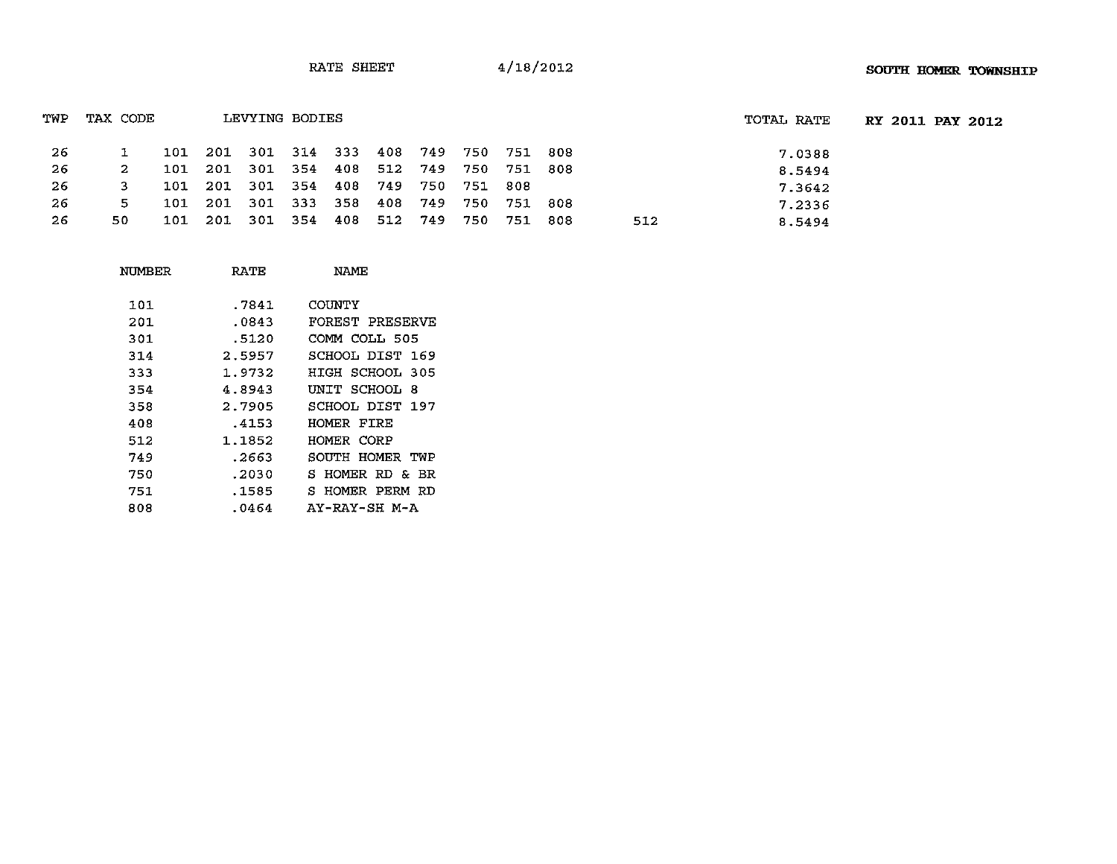| TWP | TAX CODE |                                         | LEVYING BODIES |  |  |         |     | TOTAL RATE | <b>RY 2011 PAY 2012</b> |
|-----|----------|-----------------------------------------|----------------|--|--|---------|-----|------------|-------------------------|
| -26 |          | 101 201 301 314 333 408 749 750 751 808 |                |  |  |         |     | 7.0388     |                         |
| -26 | 2.       | 101 201 301 354 408 512 749 750 751 808 |                |  |  |         |     | 8.5494     |                         |
| -26 |          | 101 201 301 354 408 749 750 751 808     |                |  |  |         |     | 7.3642     |                         |
| -26 | 5.       | 101 201 301 333 358 408 749 750 751 808 |                |  |  |         |     | 7.2336     |                         |
| -26 | 50.      | 101 201 301 354 408 512 749 750         |                |  |  | 751 808 | 512 | 8.5494     |                         |

| NUMBER | RATE   | NAME                |
|--------|--------|---------------------|
| 101    | .7841  | COUNTY              |
| 201    | .0843  | FOREST PRESERVE     |
| 301    | .5120  | COMM COLL 505       |
| 314    | 2.5957 | SCHOOL DIST<br>169  |
| 333    | 1.9732 | HIGH SCHOOL<br>-305 |
| 354    | 4.8943 | UNIT SCHOOL<br>-8   |
| 358    | 2.7905 | SCHOOL DIST 197     |
| 408    | .4153  | HOMER FIRE          |
| 512    | 1.1852 | HOMER CORP          |
| 749    | .2663  | SOUTH HOMER TWP     |
| 750    | .2030  | S HOMER RD & BR     |
| 751    | .1585  | S HOMER PERM RD     |
| 808    | .0464  | AY-RAY-SH M-A       |
|        |        |                     |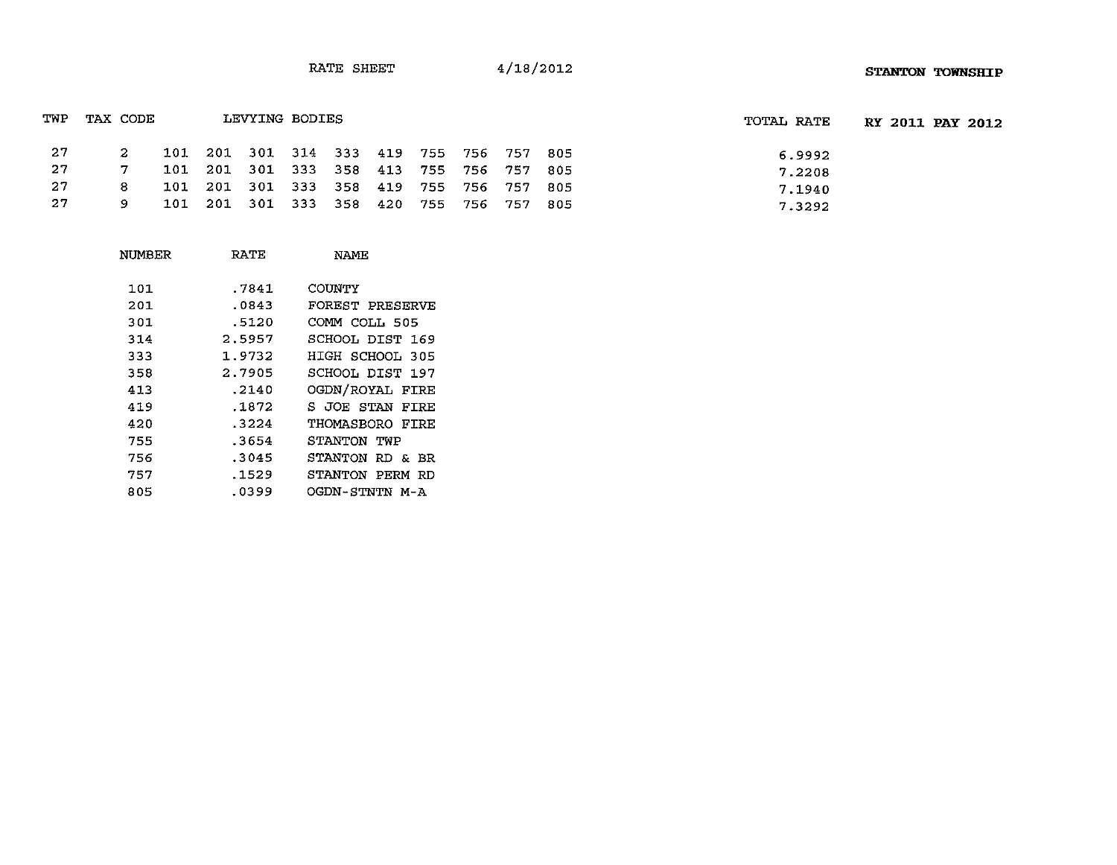| TWP  | TAX CODE     |                                         | LEVYING BODIES |  |  |  | TOTAL RATE | RY 2011 PAY 2012 |
|------|--------------|-----------------------------------------|----------------|--|--|--|------------|------------------|
| - 27 | $\mathbf{2}$ | 101 201 301 314 333 419 755 756 757 805 |                |  |  |  | 6.9992     |                  |
| - 27 |              | 101 201 301 333 358 413 755 756 757 805 |                |  |  |  | 7.2208     |                  |
| -27  | 8            | 101 201 301 333 358 419 755 756 757 805 |                |  |  |  | 7.1940     |                  |
| -27  | 9.           | 101 201 301 333 358 420 755 756 757 805 |                |  |  |  | 7.3292     |                  |

| NUMBER | RATE   | NAME            |
|--------|--------|-----------------|
| 101    | .7841  | COUNTY          |
| 201    | .0843  | FOREST PRESERVE |
| 301    | .5120  | COMM COLL 505   |
| 314    | 2.5957 | SCHOOL DIST 169 |
| 333    | 1.9732 | HIGH SCHOOL 305 |
| 358    | 2.7905 | SCHOOL DIST 197 |
| 413    | .2140  | OGDN/ROYAL FIRE |
| 419    | .1872  | S JOE STAN FIRE |
| 420    | .3224  | THOMASBORO FIRE |
| 755    | .3654  | STANTON TWP     |
| 756    | .3045  | STANTON RD & BR |
| 757    | .1529  | STANTON PERM RD |
| 805    | .0399  | OGDN-STNTN M-A  |
|        |        |                 |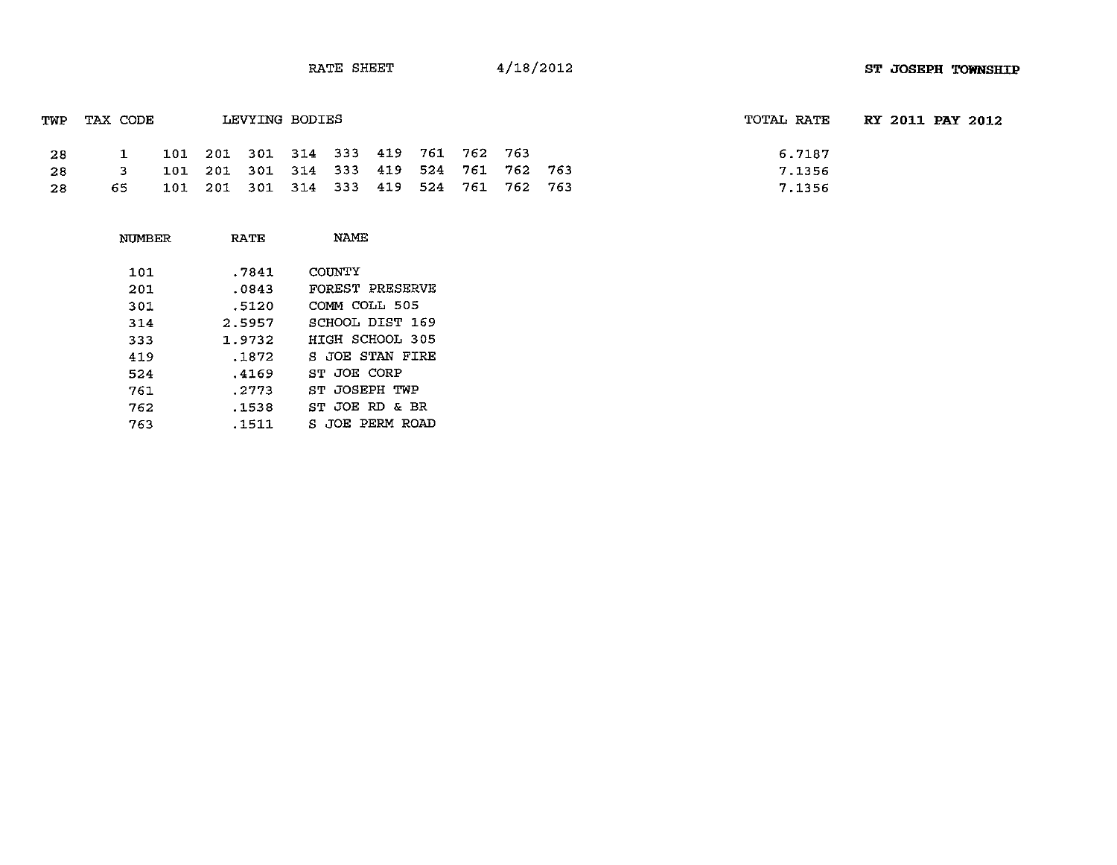| TWP | TAX CODE |  | LEVYING BODIES |                                         |  |  | TOTAL RATE | <b>RY 2011 PAY 2012</b> |
|-----|----------|--|----------------|-----------------------------------------|--|--|------------|-------------------------|
| -28 |          |  |                | 101 201 301 314 333 419 761 762 763     |  |  | 6.7187     |                         |
| -28 | <b>2</b> |  |                | 101 201 301 314 333 419 524 761 762 763 |  |  | 7.1356     |                         |
| -28 | -65      |  |                | 101 201 301 314 333 419 524 761 762 763 |  |  | 7.1356     |                         |

| NUMBER | RATE   | NAME            |
|--------|--------|-----------------|
| 101    | .7841  | COUNTY          |
| 201    | .0843  | FOREST PRESERVE |
| 301    | .5120  | COMM COLL 505   |
| 314    | 2.5957 | SCHOOL DIST 169 |
| 333    | 1.9732 | HIGH SCHOOL 305 |
| 419    | .1872  | S JOE STAN FIRE |
| 524    | .4169  | ST JOE CORP     |
| 761    | .2773  | ST JOSEPH TWP   |
| 762    | .1538  | ST JOE RD & BR  |
| 763    | .1511  | S JOE PERM ROAD |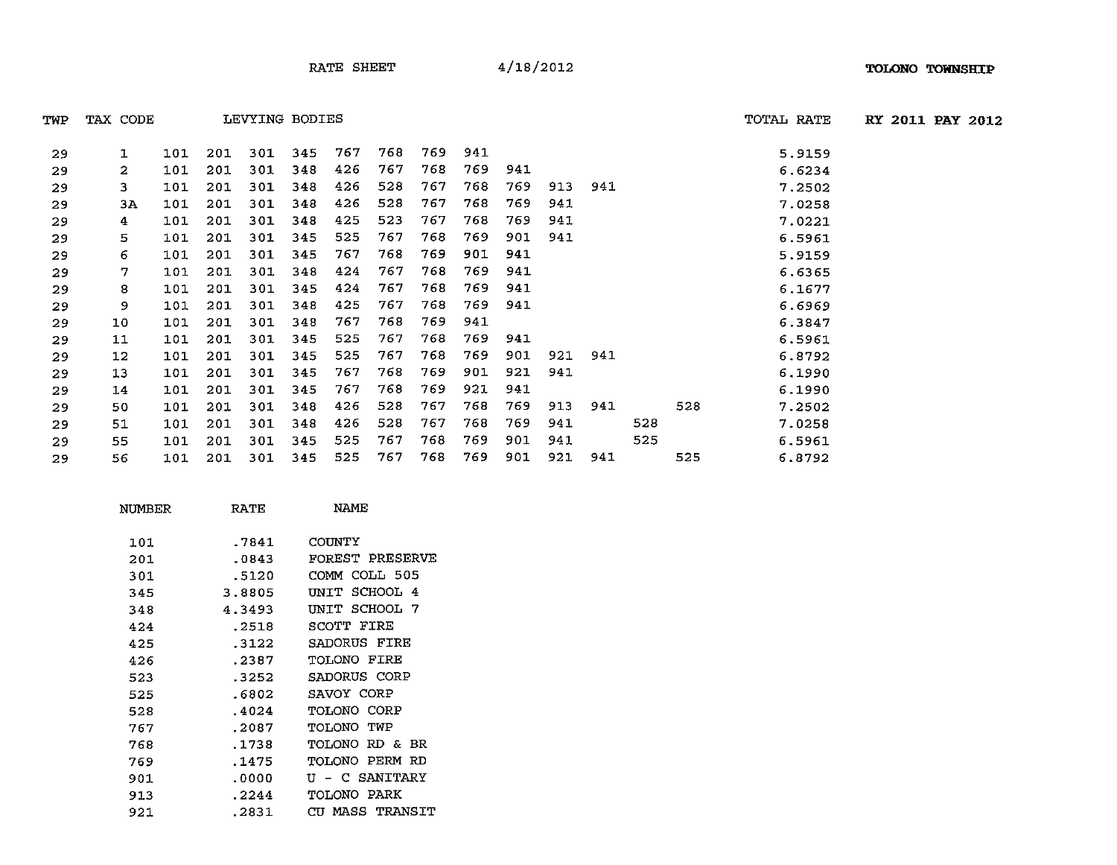TWP TAX CODE LEVYING BODIES TOTAL RATE **RY 2011 PAY 2012**

| 29 | 1  | 101 | 201 | 301 | 345 | 767 | 768 | 769. | 941  |     |     |     |     |     | 5.9159 |
|----|----|-----|-----|-----|-----|-----|-----|------|------|-----|-----|-----|-----|-----|--------|
| 29 | 2  | 101 | 201 | 301 | 348 | 426 | 767 | 768  | 769  | 941 |     |     |     |     | 6.6234 |
| 29 | 3. | 101 | 201 | 301 | 348 | 426 | 528 | 767  | 768  | 769 | 913 | 941 |     |     | 7.2502 |
| 29 | ЗΑ | 101 | 201 | 301 | 348 | 426 | 528 | 767  | 768  | 769 | 941 |     |     |     | 7.0258 |
| 29 | 4  | 101 | 201 | 301 | 348 | 425 | 523 | 767  | 768  | 769 | 941 |     |     |     | 7.0221 |
| 29 | 5  | 101 | 201 | 301 | 345 | 525 | 767 | 768  | 769  | 901 | 941 |     |     |     | 6.5961 |
| 29 | 6  | 101 | 201 | 301 | 345 | 767 | 768 | 769  | 901  | 941 |     |     |     |     | 5.9159 |
| 29 | 7  | 101 | 201 | 301 | 348 | 424 | 767 | 768  | 769  | 941 |     |     |     |     | 6.6365 |
| 29 | 8  | 101 | 201 | 301 | 345 | 424 | 767 | 768  | 769  | 941 |     |     |     |     | 6.1677 |
| 29 | 9  | 101 | 201 | 301 | 348 | 425 | 767 | 768  | 769  | 941 |     |     |     |     | 6.6969 |
| 29 | 10 | 101 | 201 | 301 | 348 | 767 | 768 | 769  | 941  |     |     |     |     |     | 6.3847 |
| 29 | 11 | 101 | 201 | 301 | 345 | 525 | 767 | 768  | 769. | 941 |     |     |     |     | 6.5961 |
| 29 | 12 | 101 | 201 | 301 | 345 | 525 | 767 | 768  | 769  | 901 | 921 | 941 |     |     | 6.8792 |
| 29 | 13 | 101 | 201 | 301 | 345 | 767 | 768 | 769  | 901  | 921 | 941 |     |     |     | 6.1990 |
| 29 | 14 | 101 | 201 | 301 | 345 | 767 | 768 | 769  | 921  | 941 |     |     |     |     | 6.1990 |
| 29 | 50 | 101 | 201 | 301 | 348 | 426 | 528 | 767  | 768  | 769 | 913 | 941 |     | 528 | 7.2502 |
| 29 | 51 | 101 | 201 | 301 | 348 | 426 | 528 | 767  | 768  | 769 | 941 |     | 528 |     | 7.0258 |
| 29 | 55 | 101 | 201 | 301 | 345 | 525 | 767 | 768  | 769  | 901 | 941 |     | 525 |     | 6.5961 |
| 29 | 56 | 101 | 201 | 301 | 345 | 525 | 767 | 768  | 769  | 901 | 921 | 941 |     | 525 | 6.8792 |

| NUMBER | RATE   | <b>NAME</b>        |
|--------|--------|--------------------|
| 101    | .7841  | COUNTY             |
| 201    | .0843  | FOREST PRESERVE    |
| 301    | .5120  | COMM COLL 505      |
| 345    | 3.8805 | UNIT SCHOOL 4      |
| 348    | 4.3493 | UNIT SCHOOL 7      |
| 424    | .2518  | SCOTT FIRE         |
| 425    | .3122  | SADORUS FIRE       |
| 426    | .2387  | <b>TOLONO FIRE</b> |
| 523    | .3252  | SADORUS CORP       |
| 525    | .6802  | SAVOY CORP         |
| 528    | .4024  | TOLONO CORP        |
| 767    | .2087  | TOLONO TWP         |
| 768    | .1738  | TOLONO RD & BR     |
| 769    | .1475  | TOLONO PERM RD     |
| 901    | .0000  | U - C SANITARY     |
| 913    | .2244  | TOLONO PARK        |
| 921    | .2831  | CU MASS TRANSIT    |
|        |        |                    |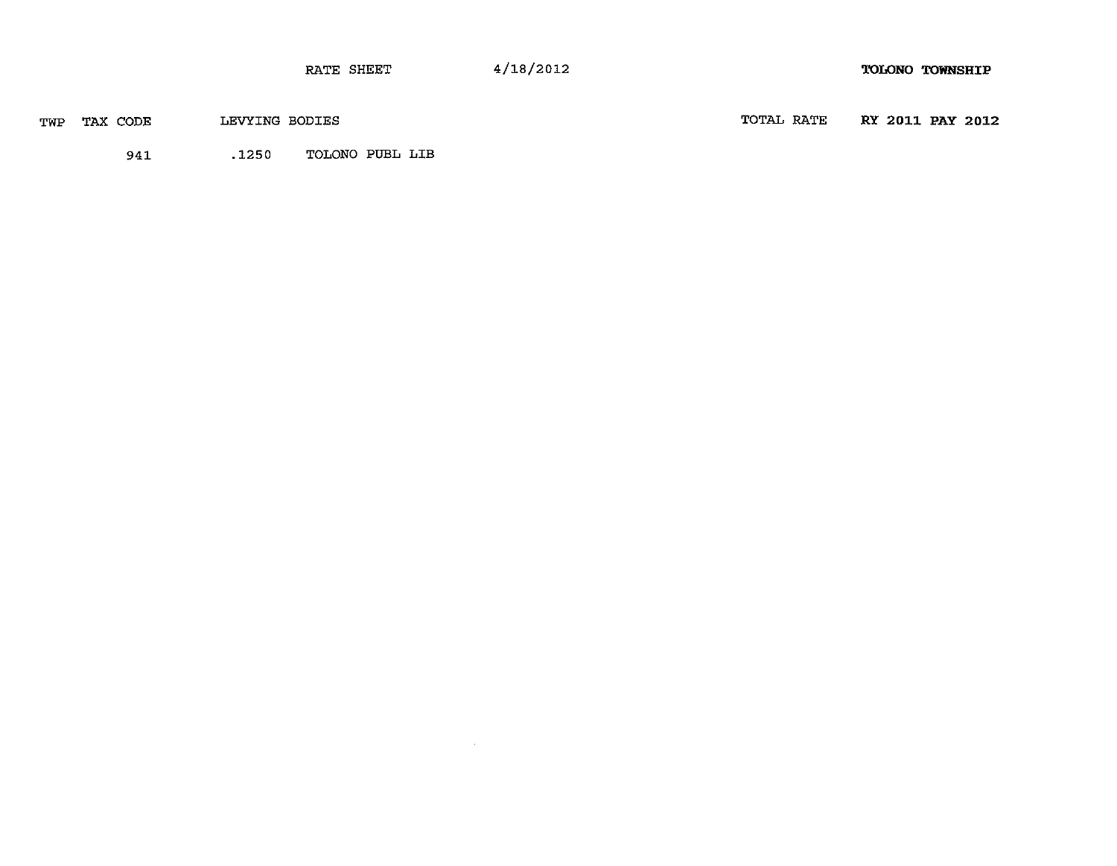RATE SHEET 4/18/2012 **TOLONO** TOWNSHIP

 $\sim$   $\mu$  .

| TAX CODE<br>TWP | LEVYING BODIES |  |
|-----------------|----------------|--|
|-----------------|----------------|--|

TOTAL RATE **RY** 2011 **PAY** 2012

941 .1250 TOLONO PUEL LIB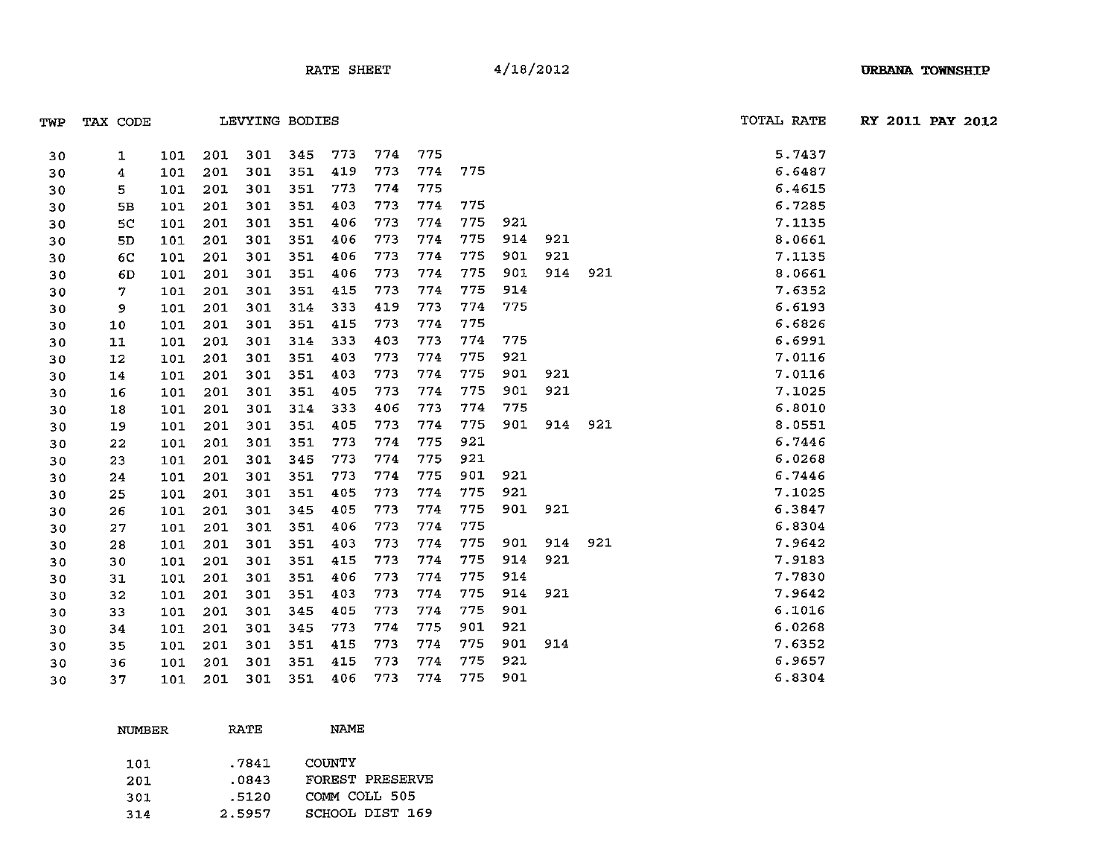|     |             |                | TOTAL RATE |                  |
|-----|-------------|----------------|------------|------------------|
| TWP | CODE<br>TAX | LEVYING BODIES |            | RY 2011 PAY 2012 |

| 30 | 1              | 101 | 201 | 301 | 345 | 773 | 774 | 775 |     |     |     |     | 5.7437 |
|----|----------------|-----|-----|-----|-----|-----|-----|-----|-----|-----|-----|-----|--------|
| 30 | 4              | 101 | 201 | 301 | 351 | 419 | 773 | 774 | 775 |     |     |     | 6.6487 |
| 30 | 5.             | 101 | 201 | 301 | 351 | 773 | 774 | 775 |     |     |     |     | 6.4615 |
| 30 | 5B             | 101 | 201 | 301 | 351 | 403 | 773 | 774 | 775 |     |     |     | 6.7285 |
| 30 | 5C             | 101 | 201 | 301 | 351 | 406 | 773 | 774 | 775 | 921 |     |     | 7.1135 |
| 30 | 5 <sub>D</sub> | 101 | 201 | 301 | 351 | 406 | 773 | 774 | 775 | 914 | 921 |     | 8.0661 |
| 30 | 6C             | 101 | 201 | 301 | 351 | 406 | 773 | 774 | 775 | 901 | 921 |     | 7.1135 |
| 30 | 6D             | 101 | 201 | 301 | 351 | 406 | 773 | 774 | 775 | 901 | 914 | 921 | 8.0661 |
| 30 | 7              | 101 | 201 | 301 | 351 | 415 | 773 | 774 | 775 | 914 |     |     | 7.6352 |
| 30 | 9              | 101 | 201 | 301 | 314 | 333 | 419 | 773 | 774 | 775 |     |     | 6.6193 |
| 30 | 10             | 101 | 201 | 301 | 351 | 415 | 773 | 774 | 775 |     |     |     | 6.6826 |
| 30 | 11             | 101 | 201 | 301 | 314 | 333 | 403 | 773 | 774 | 775 |     |     | 6.6991 |
| 30 | 12             | 101 | 201 | 301 | 351 | 403 | 773 | 774 | 775 | 921 |     |     | 7.0116 |
| 30 | 14             | 101 | 201 | 301 | 351 | 403 | 773 | 774 | 775 | 901 | 921 |     | 7.0116 |
| 30 | 16             | 101 | 201 | 301 | 351 | 405 | 773 | 774 | 775 | 901 | 921 |     | 7.1025 |
| 30 | 18             | 101 | 201 | 301 | 314 | 333 | 406 | 773 | 774 | 775 |     |     | 6.8010 |
| 30 | 19             | 101 | 201 | 301 | 351 | 405 | 773 | 774 | 775 | 901 | 914 | 921 | 8.0551 |
| 30 | 22             | 101 | 201 | 301 | 351 | 773 | 774 | 775 | 921 |     |     |     | 6.7446 |
| 30 | 23             | 101 | 201 | 301 | 345 | 773 | 774 | 775 | 921 |     |     |     | 6.0268 |
| 30 | 24             | 101 | 201 | 301 | 351 | 773 | 774 | 775 | 901 | 921 |     |     | 6.7446 |
| 30 | 25             | 101 | 201 | 301 | 351 | 405 | 773 | 774 | 775 | 921 |     |     | 7.1025 |
| 30 | 26             | 101 | 201 | 301 | 345 | 405 | 773 | 774 | 775 | 901 | 921 |     | 6.3847 |
| 30 | 27             | 101 | 201 | 301 | 351 | 406 | 773 | 774 | 775 |     |     |     | 6.8304 |
| 30 | 28             | 101 | 201 | 301 | 351 | 403 | 773 | 774 | 775 | 901 | 914 | 921 | 7.9642 |
| 30 | 30             | 101 | 201 | 301 | 351 | 415 | 773 | 774 | 775 | 914 | 921 |     | 7.9183 |
| 30 | 31             | 101 | 201 | 301 | 351 | 406 | 773 | 774 | 775 | 914 |     |     | 7.7830 |
| 30 | 32             | 101 | 201 | 301 | 351 | 403 | 773 | 774 | 775 | 914 | 921 |     | 7.9642 |
| 30 | 33             | 101 | 201 | 301 | 345 | 405 | 773 | 774 | 775 | 901 |     |     | 6.1016 |
| 30 | 34             | 101 | 201 | 301 | 345 | 773 | 774 | 775 | 901 | 921 |     |     | 6.0268 |
| 30 | 35             | 101 | 201 | 301 | 351 | 415 | 773 | 774 | 775 | 901 | 914 |     | 7.6352 |
| 30 | 36             | 101 | 201 | 301 | 351 | 415 | 773 | 774 | 775 | 921 |     |     | 6.9657 |
| 30 | 37             | 101 | 201 | 301 | 351 | 406 | 773 | 774 | 775 | 901 |     |     | 6.8304 |
|    |                |     |     |     |     |     |     |     |     |     |     |     |        |

| NUMBER | RATE   | NAME            |
|--------|--------|-----------------|
| 101    | .7841  | COUNTY          |
| 201    | .0843  | FOREST PRESERVE |
| 301    | .5120  | COMM COLL 505   |
| 314    | 2.5957 | SCHOOL DIST 169 |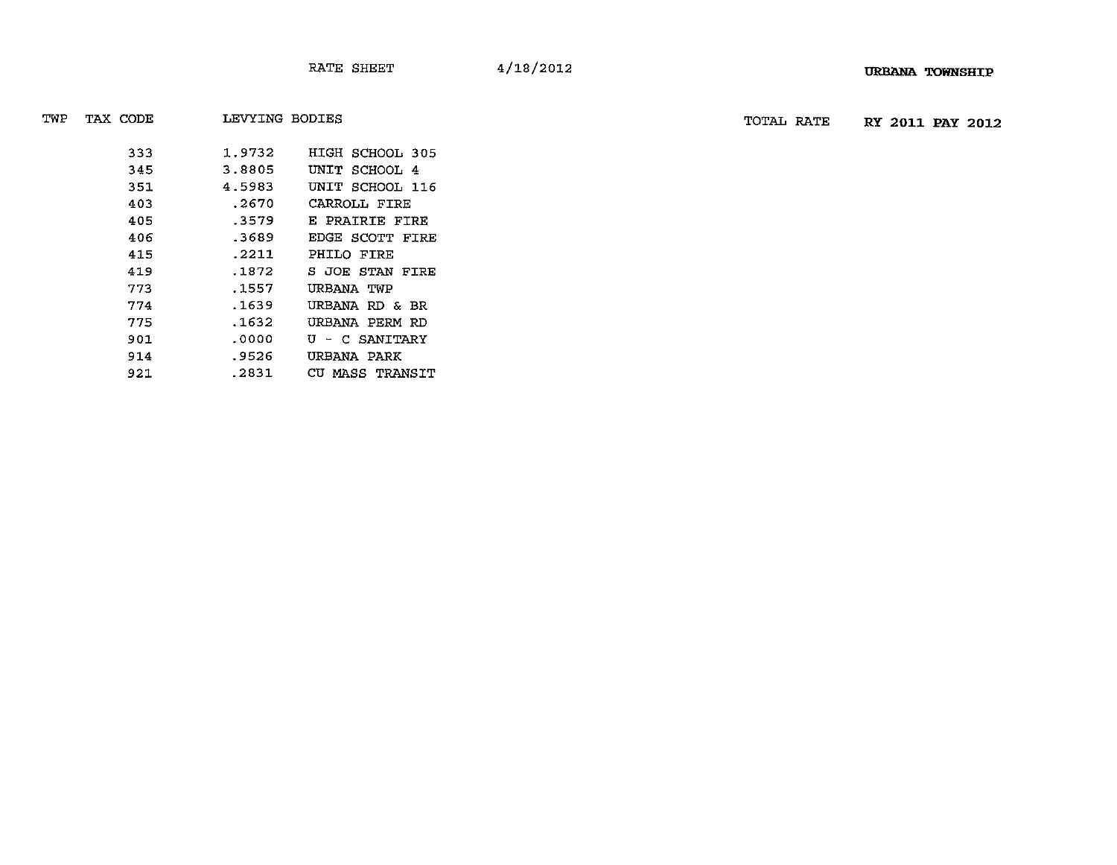TWP TAX CODE LEVYING BODIES TOTAL RATE **RY 2011 PAY** 2012

| 333 | 1.9732 | HIGH SCHOOL 305 |
|-----|--------|-----------------|
| 345 | 3.8805 | UNIT SCHOOL 4   |
| 351 | 4.5983 | UNIT SCHOOL 116 |
| 403 | .2670  | CARROLL FIRE    |
| 405 | .3579  | E PRAIRIE FIRE  |
| 406 | .3689  | EDGE SCOTT FIRE |
| 415 | .2211  | PHILO FIRE      |
| 419 | .1872  | S JOE STAN FIRE |
| 773 | .1557  | URBANA TWP      |
| 774 | .1639  | URBANA RD & BR  |
| 775 | .1632  | URBANA PERM RD  |
| 901 | .0000  | U - C SANITARY  |
| 914 | .9526  | URBANA PARK     |
| 921 | .2831  | CU MASS TRANSIT |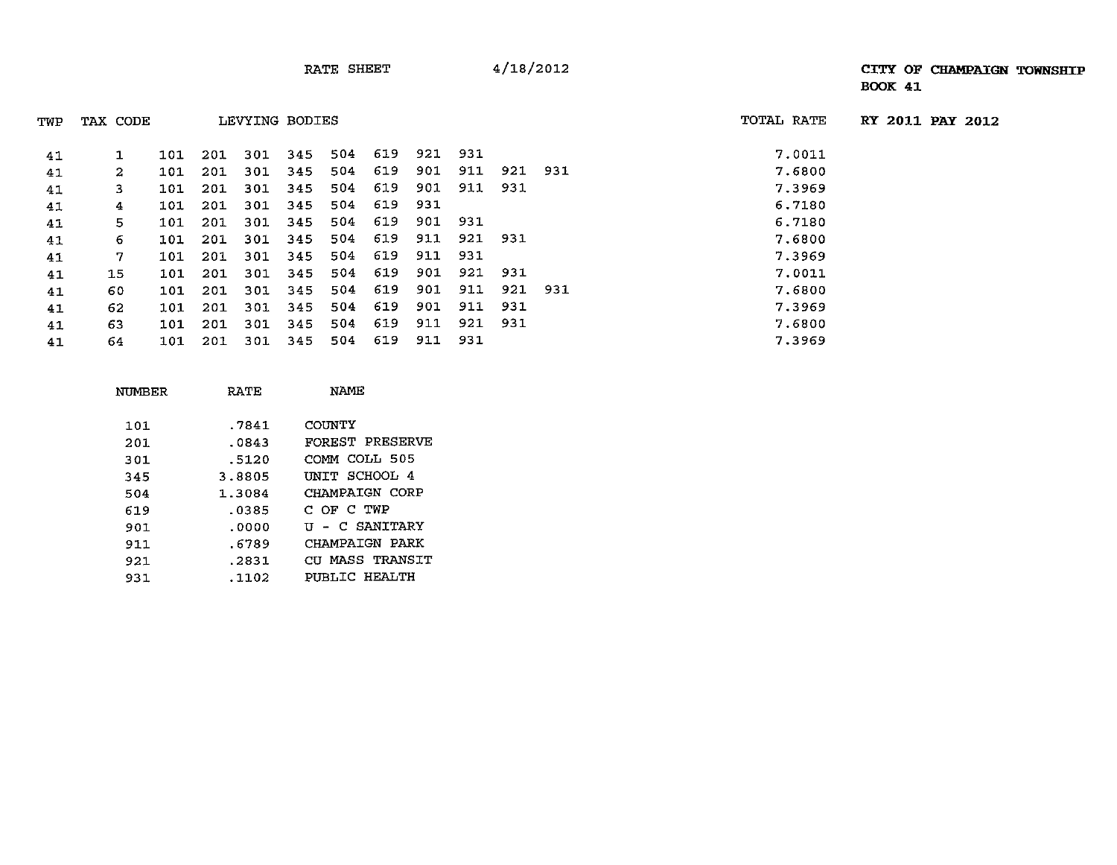| TWP | TAX CODE     |     |     | LEVYING BODIES |     |      |     |     |     |         |  | TOTAL RATE | RY 2011 PAY 2012 |  |
|-----|--------------|-----|-----|----------------|-----|------|-----|-----|-----|---------|--|------------|------------------|--|
| 41  | $\mathbf{1}$ | 101 | 201 | 301            | 345 | 504  | 619 | 921 | 931 |         |  | 7.0011     |                  |  |
| 41  | 2            | 101 | 201 | 301            | 345 | 504  | 619 | 901 | 911 | 921 931 |  | 7.6800     |                  |  |
| 41  | 3.           | 101 | 201 | 301            | 345 | 504. | 619 | 901 | 911 | 931     |  | 7.3969     |                  |  |
| 41  | 4            | 101 | 201 | 301            | 345 | 504  | 619 | 931 |     |         |  | 6.7180     |                  |  |
| 41  | 5.           | 101 | 201 | 301            | 345 | 504  | 619 | 901 | 931 |         |  | 6.7180     |                  |  |
| 41  | 6            | 101 | 201 | 301            | 345 | 504  | 619 | 911 | 921 | 931     |  | 7.6800     |                  |  |
| 41  | 7.           | 101 | 201 | 301            | 345 | 504  | 619 | 911 | 931 |         |  | 7.3969     |                  |  |
| 41  | 15           | 101 | 201 | 301            | 345 | 504  | 619 | 901 | 921 | 931     |  | 7.0011     |                  |  |
| 41  | 60           | 101 | 201 | 301            | 345 | 504  | 619 | 901 | 911 | 921 931 |  | 7.6800     |                  |  |
| 41  | 62           | 101 | 201 | 301            | 345 | 504  | 619 | 901 | 911 | 931     |  | 7.3969     |                  |  |
| 41  | 63           | 101 | 201 | 301            | 345 | 504  | 619 | 911 | 921 | 931     |  | 7.6800     |                  |  |
| 41  | 64.          | 101 | 201 | 301            | 345 | 504  | 619 | 911 | 931 |         |  | 7.3969     |                  |  |

| RATE   | NAME            |
|--------|-----------------|
| .7841  | COUNTY          |
| .0843  | FOREST PRESERVE |
| .5120  | COMM COLL 505   |
| 3.8805 | UNIT SCHOOL 4   |
| 1.3084 | CHAMPAIGN CORP  |
| .0385  | C OF C TWP      |
| .0000  | U - C SANITARY  |
| .6789  | CHAMPAIGN PARK  |
| .2831  | CU MASS TRANSIT |
| .1102  | PUBLIC HEALTH   |
|        |                 |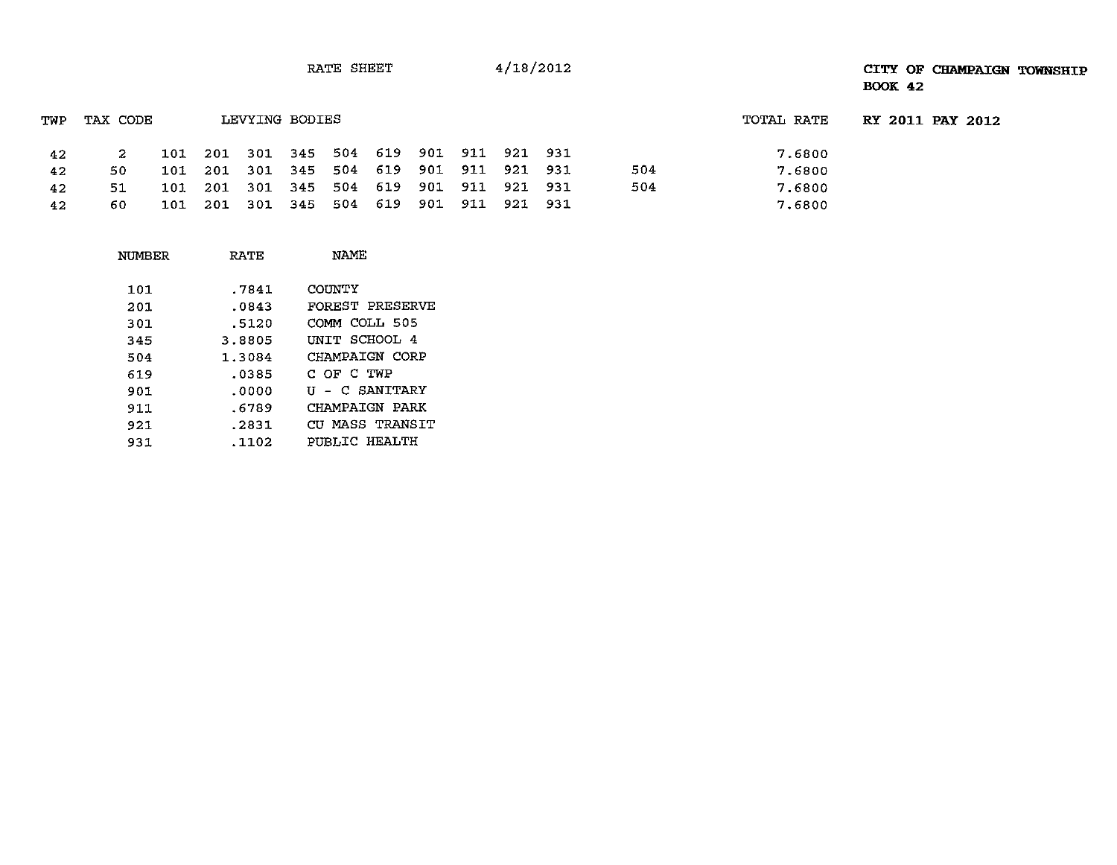RATE SHEET 4/18/2012

## **CITY OF CHAMPAIGN TOWNSHIP BOOK 42**

| TWP | TAX CODE |  | LEVYING BODIES |                                         |  |             |         |     | TOTAL RATE | RY 2011 PAY 2012 |
|-----|----------|--|----------------|-----------------------------------------|--|-------------|---------|-----|------------|------------------|
| 42  | 2.       |  |                | 101 201 301 345 504 619 901 911 921 931 |  |             |         |     | 7.6800     |                  |
| 42  | 50.      |  |                | 101 201 301 345 504 619 901             |  | 911         | 921 931 | 504 | 7.6800     |                  |
| 42  | 51       |  |                | 101 201 301 345 504 619 901             |  | 911 921 931 |         | 504 | 7.6800     |                  |
| 42  | 60.      |  |                | 101 201 301 345 504 619 901             |  | 911 921 931 |         |     | 7.6800     |                  |

| RATE   | <b>NAME</b>     |
|--------|-----------------|
| .7841  | COUNTY          |
| .0843  | FOREST PRESERVE |
| .5120  | COMM COLL 505   |
| 3.8805 | INTT SCHOOL 4   |
| 1.3084 | CHAMPAIGN CORP  |
| .0385  | C OF C TWP      |
| .0000  | U - C SANITARY  |
| .6789  | CHAMPAIGN PARK  |
| .2831  | CU MASS TRANSIT |
| . 1102 | PUBLIC HEALTH   |
|        |                 |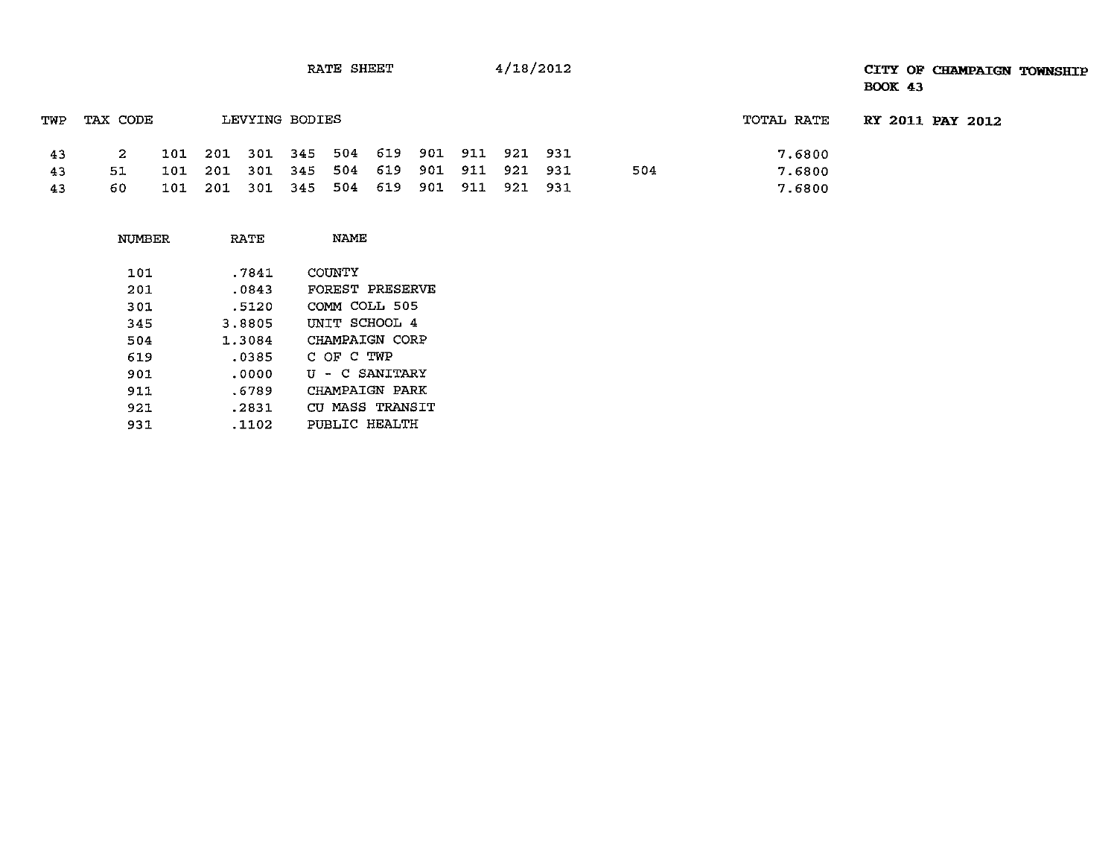## RATE SHEET  $4/18/2012$   $4/18/2012$ BOOK 43

| TWP | TAX CODE |                                         | LEVYING BODIES |  |  |  |     | TOTAL RATE | <b>RY 2011 PAY 2012</b> |  |
|-----|----------|-----------------------------------------|----------------|--|--|--|-----|------------|-------------------------|--|
| -43 |          | 101 201 301 345 504 619 901 911 921 931 |                |  |  |  |     | 7.6800     |                         |  |
| 43  | 51       | 101 201 301 345 504 619 901 911 921 931 |                |  |  |  | 504 | 7.6800     |                         |  |
| -43 | 60.      | 101 201 301 345 504 619 901 911 921 931 |                |  |  |  |     | 7.6800     |                         |  |

| NUMBER | RATE   | NAME            |
|--------|--------|-----------------|
| 101    | .7841  | COUNTY          |
| 201    | .0843  | FOREST PRESERVE |
| 301    | .5120  | COMM COLL 505   |
| 345    | 3.8805 | UNIT SCHOOL 4   |
| 504    | 1.3084 | CHAMPAIGN CORP  |
| 619    | .0385  | C OF C TWP      |
| 901    | .0000  | U - C SANITARY  |
| 911    | .6789  | CHAMPAIGN PARK  |
| 921    | .2831  | CU MASS TRANSIT |
| 931    | .1102  | PUBLIC HEALTH   |
|        |        |                 |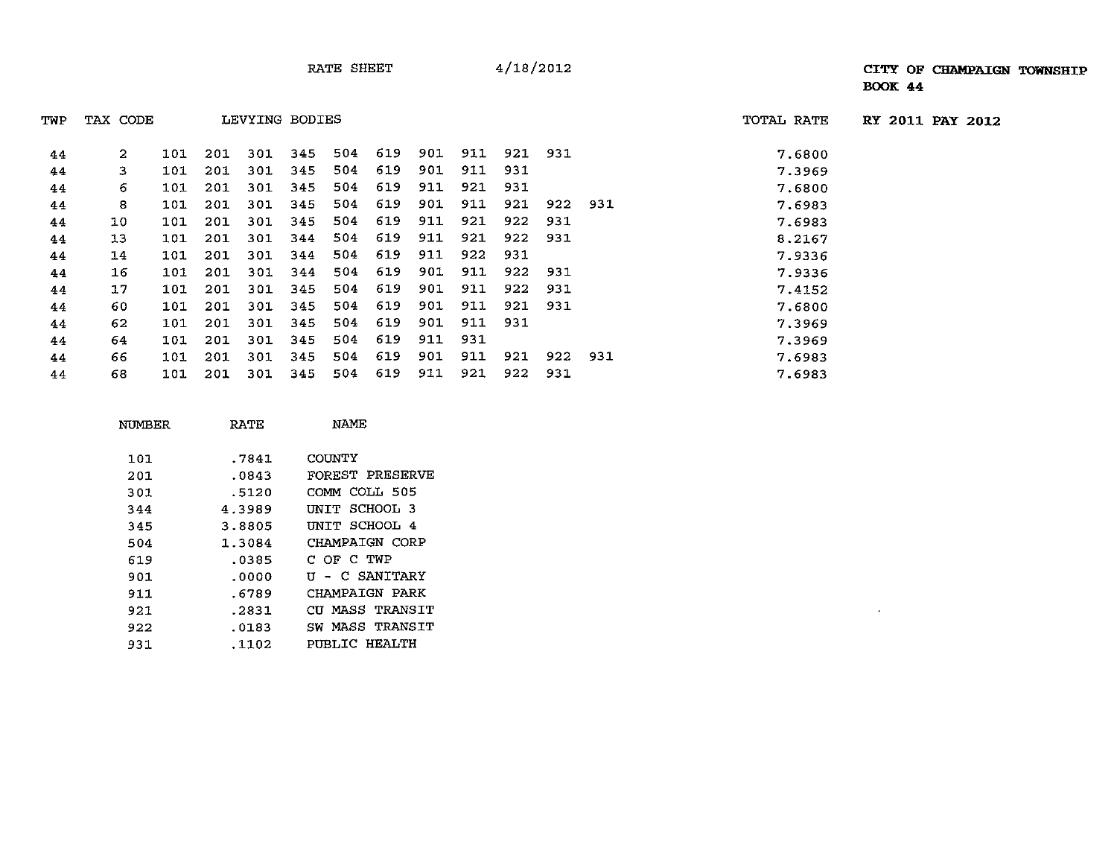16 101 201 301 344 504 619 901 911 922 931 7.9336 17 101 201 301 345 504 619 901 911 922 931 7.4152 60 101 201 301 345 504 619 901 911 921 931 7.6800 62 101 201 301 345 504 619 901 911 931 7.3969

TWP TAX CODE LEVYING BODIES TOTAL RATE **RY 2011 PAY 2012**

 $\omega$ 

| TWP | TAX CODE |  | LEVYING BODIES                          |  | TOTAL RATE |             |         |  |        |
|-----|----------|--|-----------------------------------------|--|------------|-------------|---------|--|--------|
| 44  |          |  | 101 201 301 345 504 619 901 911 921 931 |  |            |             |         |  | 7.6800 |
| 44  |          |  | 101 201 301 345 504 619 901 911 931     |  |            |             |         |  | 7.3969 |
| 44  | 6        |  | 101 201 301 345 504 619 911 921 931     |  |            |             |         |  | 7.6800 |
| 44  | 8        |  | 101 201 301 345 504 619                 |  |            | 901 911 921 | 922 931 |  | 7.6983 |
| 44  | 10       |  | 101 201 301 345 504 619 911 921 922 931 |  |            |             |         |  | 7.6983 |
| 44  | 13       |  | 101 201 301 344 504 619 911             |  |            | 921 922 931 |         |  | 8.2167 |
| 44  | 14       |  | 101 201 301 344 504 619 911             |  |            | 922 931     |         |  | 7.9336 |

| 44 | 64     | 101 | 201 | 301            | 345 | 504                                 | 619             | 911 | 931 |     |     |     | 7.3969 |
|----|--------|-----|-----|----------------|-----|-------------------------------------|-----------------|-----|-----|-----|-----|-----|--------|
| 44 | 66     | 101 | 201 | 301            | 345 | 504                                 | 619             | 901 | 911 | 921 | 922 | 931 | 7.6983 |
| 44 | 68     | 101 | 201 | 301            | 345 | 504                                 | 619             | 911 | 921 | 922 | 931 |     | 7.6983 |
|    |        |     |     |                |     |                                     |                 |     |     |     |     |     |        |
|    | NUMBER |     |     | RATE           |     | NAME                                |                 |     |     |     |     |     |        |
|    | 101    |     |     | .7841          |     | <b>COUNTY</b>                       |                 |     |     |     |     |     |        |
|    | 201    |     |     | .0843          |     |                                     | FOREST PRESERVE |     |     |     |     |     |        |
|    | 301    |     |     | .5120          |     |                                     | COMM COLL 505   |     |     |     |     |     |        |
|    | 344    |     |     | 4.3989         |     |                                     | UNIT SCHOOL 3   |     |     |     |     |     |        |
|    | 345    |     |     | 3.8805         |     |                                     | UNIT SCHOOL 4   |     |     |     |     |     |        |
|    | 504    |     |     | 1.3084         |     |                                     | CHAMPAIGN CORP  |     |     |     |     |     |        |
|    | 51 Q   |     |     | 02. <b>Q</b> 5 |     | $C$ $\cap$ $C$ $\cap$ $\cap$ $\cap$ |                 |     |     |     |     |     |        |

| 619 | .0385 | C OF C TWP      |
|-----|-------|-----------------|
| 901 | .0000 | U - C SANITARY  |
| 911 | .6789 | CHAMPAIGN PARK  |
| 921 | .2831 | CU MASS TRANSIT |
| 922 | .0183 | SW MASS TRANSIT |
| 931 | .1102 | PUBLIC HEALTH   |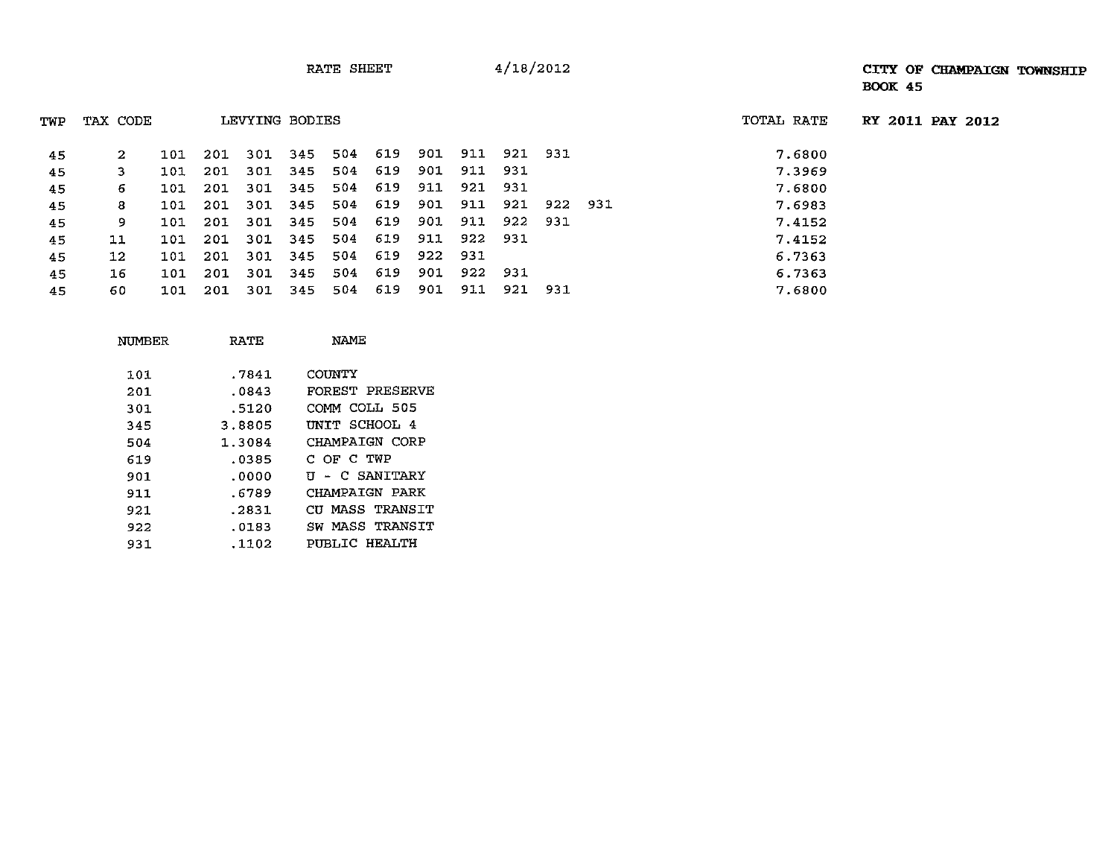RATE SHEET 4/18/2012

RY **2011** PAY 2012

| TWP | TAX CODE |     |     | LEVYING BODIES |         |     |         |         |                 |             |         | TOTAL RATE |
|-----|----------|-----|-----|----------------|---------|-----|---------|---------|-----------------|-------------|---------|------------|
|     |          |     |     |                |         |     |         |         |                 |             |         |            |
| 45  | 2        | 101 | 201 | 301            | 345     | 504 | 619     |         | 901 911 921 931 |             |         | 7.6800     |
| 45  | 3.       | 101 | 201 | 301            | 345     | 504 | 619     | 901     | 911 931         |             |         | 7.3969     |
| 45  | 6        | 101 | 201 | 301            | 345     | 504 | 619     |         | 911 921 931     |             |         | 7.6800     |
| 45  | 8        | 101 | 201 | 301            | 345     | 504 | 619     | 901     | 911             | 921         | 922 931 | 7.6983     |
| 45  | 9        | 101 | 201 |                | 301 345 |     | 504 619 | 901     |                 | 911 922 931 |         | 7.4152     |
| 45  | 11       | 101 | 201 |                | 301 345 | 504 | 619     | 911     | 922 931         |             |         | 7.4152     |
| 45  | 12       | 101 | 201 | 301            | 345     | 504 | 619     | 922 931 |                 |             |         | 6.7363     |
| 45  | 16       | 101 | 201 | 301            | 345     | 504 | 619     | 901     | 922 931         |             |         | 6.7363     |
| 45  | 60       | 101 | 201 | 301            | 345     | 504 | 619     | 901     | 911             | 921 931     |         | 7.6800     |

| NUMBER | RATE   | NAME            |
|--------|--------|-----------------|
| 101    | .7841  | COUNTY          |
| 201    | .0843  | FOREST PRESERVE |
| 301    | .5120  | COMM COLL 505   |
| 345    | 3.8805 | UNIT SCHOOL 4   |
| 504    | 1.3084 | CHAMPAIGN CORP  |
| 619    | .0385  | C OF C TWP      |
| 901    | .0000  | U - C SANITARY  |
| 911    | .6789  | CHAMPAIGN PARK  |
| 921    | .2831  | CU MASS TRANSIT |
| 922    | .0183  | SW MASS TRANSIT |
| 931    | .1102  | PIRLIC HEALTH   |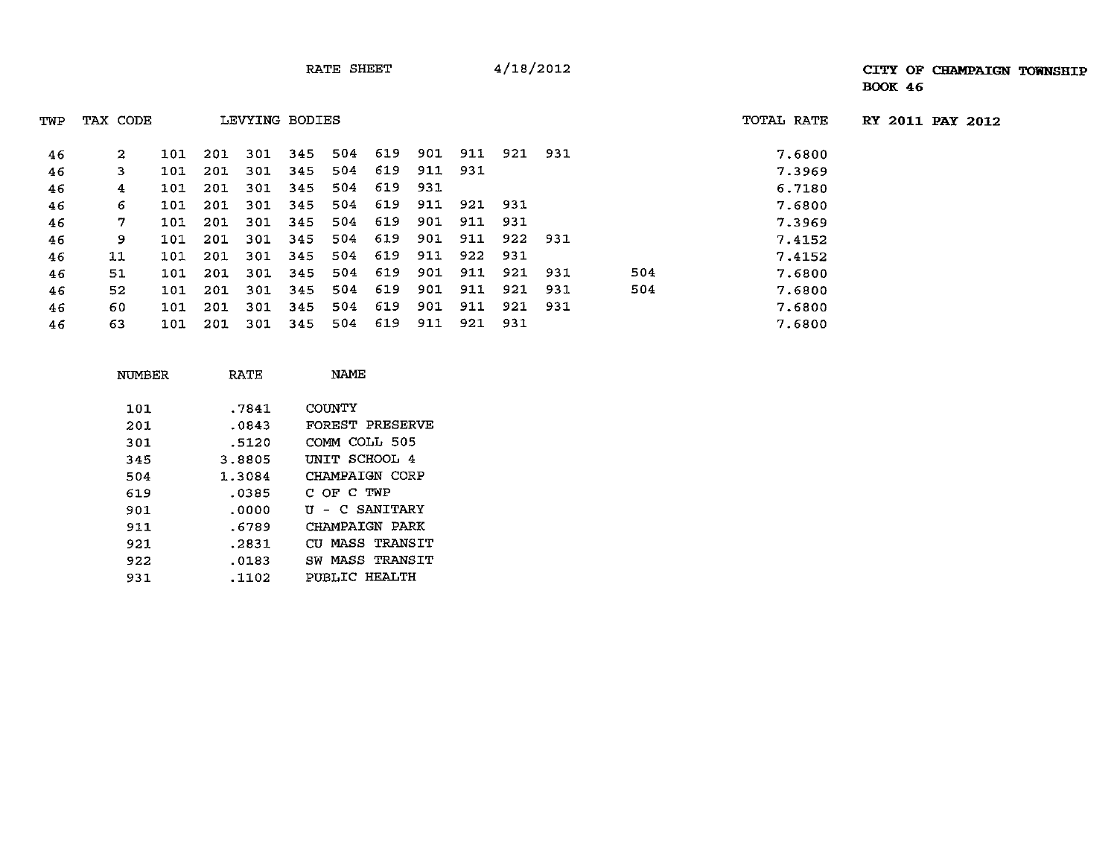| TWP | TAX CODE |     |     | LEVYING BODIES |     |     |     |     |     |     |     |     | TOTAL RATE |
|-----|----------|-----|-----|----------------|-----|-----|-----|-----|-----|-----|-----|-----|------------|
| 46  | 2        | 101 | 201 | 301            | 345 | 504 | 619 | 901 | 911 | 921 | 931 |     | 7.6800     |
| 46  | 3        | 101 | 201 | 301            | 345 | 504 | 619 | 911 | 931 |     |     |     | 7.3969     |
| 46  | 4        | 101 | 201 | 301            | 345 | 504 | 619 | 931 |     |     |     |     | 6.7180     |
| 46  | 6.       | 101 | 201 | 301            | 345 | 504 | 619 | 911 | 921 | 931 |     |     | 7.6800     |
| 46  | 7        | 101 | 201 | 301            | 345 | 504 | 619 | 901 | 911 | 931 |     |     | 7.3969     |
| 46  | 9        | 101 | 201 | 301            | 345 | 504 | 619 | 901 | 911 | 922 | 931 |     | 7.4152     |
| 46  | 11       | 101 | 201 | 301            | 345 | 504 | 619 | 911 | 922 | 931 |     |     | 7.4152     |
| 46  | 51       | 101 | 201 | 301            | 345 | 504 | 619 | 901 | 911 | 921 | 931 | 504 | 7.6800     |
| 46  | 52       | 101 | 201 | 301            | 345 | 504 | 619 | 901 | 911 | 921 | 931 | 504 | 7.6800     |
| 46  | 60       | 101 | 201 | 301            | 345 | 504 | 619 | 901 | 911 | 921 | 931 |     | 7.6800     |
| 46  | 63       | 101 | 201 | 301            | 345 | 504 | 619 | 911 | 921 | 931 |     |     | 7.6800     |

| NUMBER | RATE   | NAME            |
|--------|--------|-----------------|
| 101    | .7841  | COUNTY          |
| 201    | .0843  | FOREST PRESERVE |
| 301    | .5120  | COMM COLL 505   |
| 345    | 3.8805 | UNIT SCHOOL 4   |
| 504    | 1.3084 | CHAMPAIGN CORP  |
| 619    | .0385  | C OF C TWP      |
| 901    | .0000  | U - C SANITARY  |
| 911    | .6789  | CHAMPAIGN PARK  |
| 921    | .2831  | CU MASS TRANSIT |
| 922    | .0183  | SW MASS TRANSIT |
| 931    | .1102  | PUBLIC HEALTH   |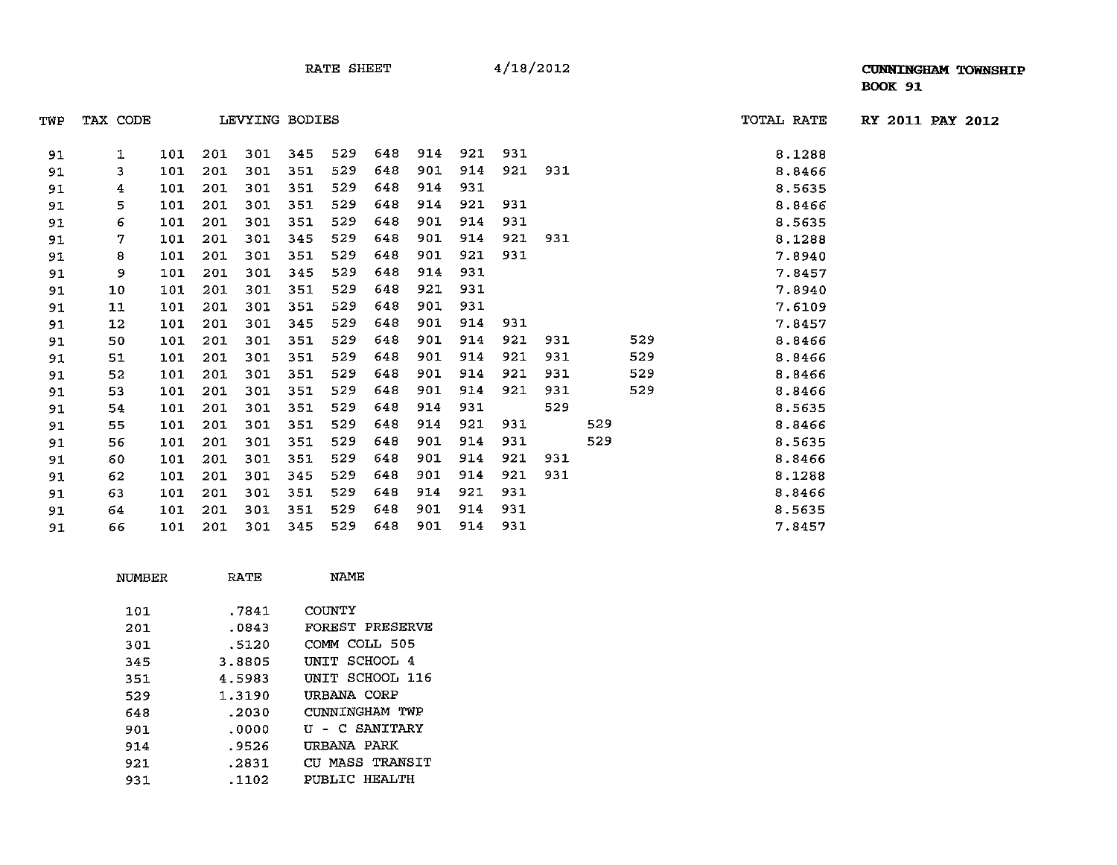| TWP | TAX CODE |     |     | LEVYING BODIES |     |     |     |     |     |     |         |     |     | TOTAL RATE | RY 2011 PAY 2012 |  |
|-----|----------|-----|-----|----------------|-----|-----|-----|-----|-----|-----|---------|-----|-----|------------|------------------|--|
|     |          |     |     |                |     |     |     |     |     |     |         |     |     |            |                  |  |
| 91  | 1        | 101 | 201 | 301            | 345 | 529 | 648 | 914 | 921 | 931 |         |     |     | 8.1288     |                  |  |
| 91  | 3        | 101 | 201 | 301            | 351 | 529 | 648 | 901 | 914 |     | 921 931 |     |     | 8.8466     |                  |  |
| 91  | 4        | 101 | 201 | 301            | 351 | 529 | 648 | 914 | 931 |     |         |     |     | 8.5635     |                  |  |
| 91  | 5        | 101 | 201 | 301            | 351 | 529 | 648 | 914 | 921 | 931 |         |     |     | 8.8466     |                  |  |
| 91  | 6        | 101 | 201 | 301            | 351 | 529 | 648 | 901 | 914 | 931 |         |     |     | 8.5635     |                  |  |
| 91  | 7        | 101 | 201 | 301            | 345 | 529 | 648 | 901 | 914 | 921 | 931     |     |     | 8.1288     |                  |  |
| 91  | 8        | 101 | 201 | 301            | 351 | 529 | 648 | 901 | 921 | 931 |         |     |     | 7.8940     |                  |  |
| 91  | 9        | 101 | 201 | 301            | 345 | 529 | 648 | 914 | 931 |     |         |     |     | 7.8457     |                  |  |
| 91  | 10       | 101 | 201 | 301            | 351 | 529 | 648 | 921 | 931 |     |         |     |     | 7.8940     |                  |  |
| 91  | 11       | 101 | 201 | 301            | 351 | 529 | 648 | 901 | 931 |     |         |     |     | 7.6109     |                  |  |
| 91  | 12       | 101 | 201 | 301            | 345 | 529 | 648 | 901 | 914 | 931 |         |     |     | 7.8457     |                  |  |
| 91  | 50       | 101 | 201 | 301            | 351 | 529 | 648 | 901 | 914 | 921 | 931     |     | 529 | 8.8466     |                  |  |
| 91  | 51       | 101 | 201 | 301            | 351 | 529 | 648 | 901 | 914 | 921 | 931     |     | 529 | 8.8466     |                  |  |
| 91  | 52       | 101 | 201 | 301            | 351 | 529 | 648 | 901 | 914 | 921 | 931     |     | 529 | 8.8466     |                  |  |
| 91  | 53       | 101 | 201 | 301            | 351 | 529 | 648 | 901 | 914 | 921 | 931     |     | 529 | 8.8466     |                  |  |
| 91  | 54       | 101 | 201 | 301            | 351 | 529 | 648 | 914 | 931 |     | 529     |     |     | 8.5635     |                  |  |
| 91  | 55       | 101 | 201 | 301            | 351 | 529 | 648 | 914 | 921 | 931 |         | 529 |     | 8.8466     |                  |  |
| 91  | 56       | 101 | 201 | 301            | 351 | 529 | 648 | 901 | 914 | 931 |         | 529 |     | 8.5635     |                  |  |
| 91  | 60       | 101 | 201 | 301            | 351 | 529 | 648 | 901 | 914 | 921 | 931     |     |     | 8.8466     |                  |  |
| 91  | 62       | 101 | 201 | 301            | 345 | 529 | 648 | 901 | 914 | 921 | 931     |     |     | 8.1288     |                  |  |
| 91  | 63       | 101 | 201 | 301            | 351 | 529 | 648 | 914 | 921 | 931 |         |     |     | 8.8466     |                  |  |
| 91  | 64       | 101 | 201 | 301            | 351 | 529 | 648 | 901 | 914 | 931 |         |     |     | 8.5635     |                  |  |
| 91  | 66       | 101 | 201 | 301            | 345 | 529 | 648 | 901 | 914 | 931 |         |     |     | 7.8457     |                  |  |

| NUMBER | RATE   | NAME            |
|--------|--------|-----------------|
| 101    | .7841  | COUNTY          |
| 201    | .0843  | FOREST PRESERVE |
| 301    | .5120  | COMM COLL 505   |
| 345    | 3.8805 | UNIT SCHOOL 4   |
| 351    | 4.5983 | INTT SCHOOL 116 |
| 529    | 1.3190 | URBANA CORP     |
| 648    | .2030  | CUNNINGHAM TWP  |
| 901    | .0000  | U - C SANITARY  |
| 914    | .9526  | URBANA PARK     |
| 921    | .2831  | CU MASS TRANSIT |
| 931    | .1102  | PUBLIC HEALTH   |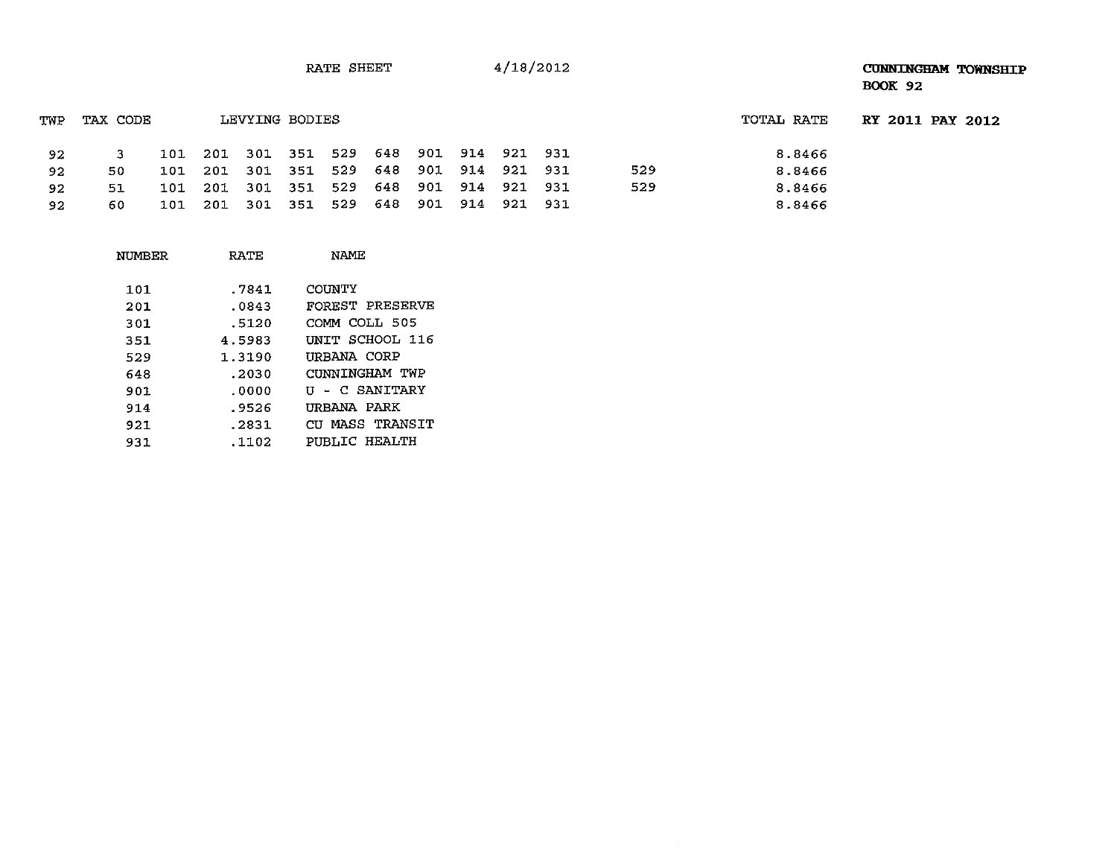RATE SHEET 4/18/2012

## **CUNNINGHAM TOWNSHIP BOOK 92**

| TWP | TAX CODE |     |       | LEVYING BODIES |                                         |  |  |     | TOTAL RATE | RY 2011 PAY 2012 |  |
|-----|----------|-----|-------|----------------|-----------------------------------------|--|--|-----|------------|------------------|--|
| 92  |          |     |       |                | 101 201 301 351 529 648 901 914 921 931 |  |  |     | 8.8466     |                  |  |
| 92  | 50.      |     |       |                | 101 201 301 351 529 648 901 914 921 931 |  |  | 529 | 8.8466     |                  |  |
| 92  | 51       | 101 | - 201 |                | 301 351 529 648 901 914 921 931         |  |  | 529 | 8.8466     |                  |  |
| 92  | 60       | 101 |       |                | 201 301 351 529 648 901 914 921 931     |  |  |     | 8.8466     |                  |  |

| NUMBER | RATE   | NAME            |
|--------|--------|-----------------|
| 101    | .7841  | COUNTY          |
| 201    | .0843  | FOREST PRESERVE |
| 301    | .5120  | COMM COLL 505   |
| 351    | 4.5983 | INTT SCHOOL 116 |
| 529    | 1.3190 | URBANA CORP     |
| 648    | .2030  | CUNNINGHAM TWP  |
| 901    | .0000  | U - C SANITARY  |
| 914    | .9526  | URBANA PARK     |
| 921    | .2831  | CU MASS TRANSIT |
| 931    | .1102  | PUBLIC HEALTH   |
|        |        |                 |